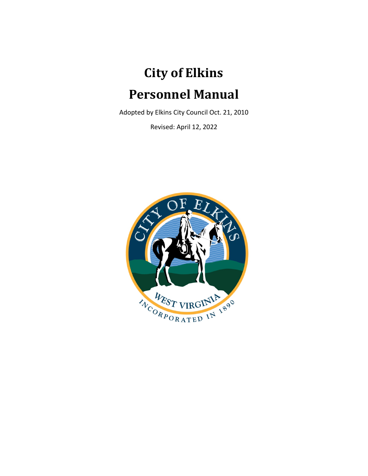# **City of Elkins Personnel Manual**

Adopted by Elkins City Council Oct. 21, 2010

Revised: April 12, 2022

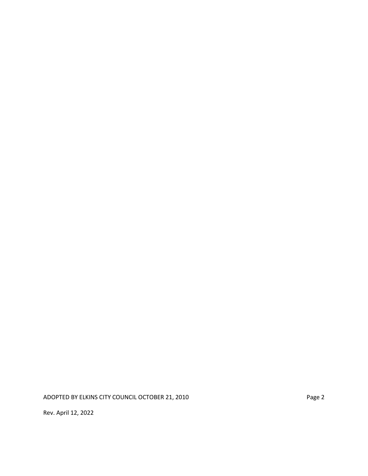ADOPTED BY ELKINS CITY COUNCIL OCTOBER 21, 2010 **Page 2** Page 2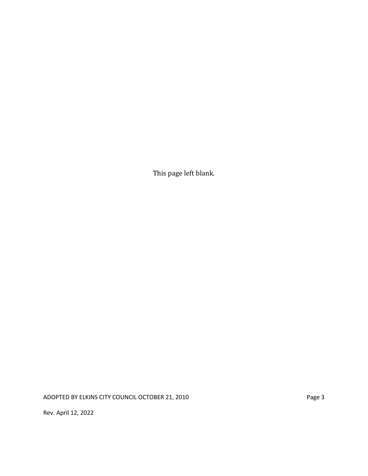ADOPTED BY ELKINS CITY COUNCIL OCTOBER 21, 2010 **Page 3** Page 3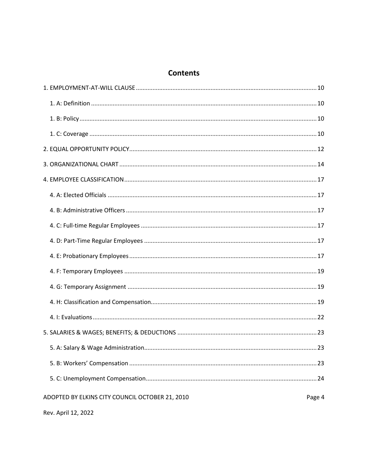#### **Contents**

| ADOPTED BY ELKINS CITY COUNCIL OCTOBER 21, 2010 | Page 4 |
|-------------------------------------------------|--------|
| Rev. April 12, 2022                             |        |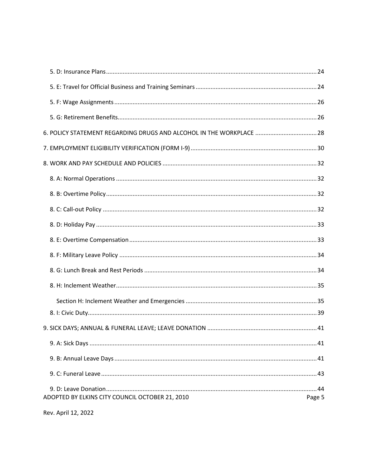| 6. POLICY STATEMENT REGARDING DRUGS AND ALCOHOL IN THE WORKPLACE  28 |        |
|----------------------------------------------------------------------|--------|
|                                                                      |        |
|                                                                      |        |
|                                                                      |        |
|                                                                      |        |
|                                                                      |        |
|                                                                      |        |
|                                                                      |        |
|                                                                      |        |
|                                                                      |        |
|                                                                      |        |
|                                                                      |        |
|                                                                      |        |
|                                                                      |        |
|                                                                      |        |
|                                                                      |        |
|                                                                      |        |
| ADOPTED BY ELKINS CITY COUNCIL OCTOBER 21, 2010                      | Page 5 |
|                                                                      |        |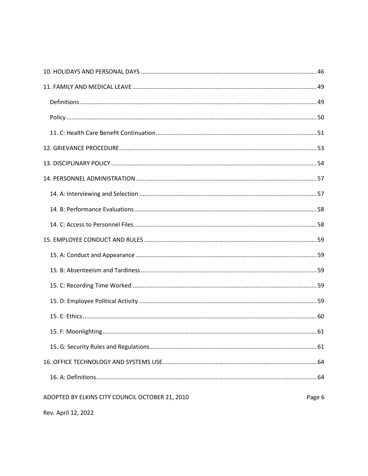| ADOPTED BY ELKINS CITY COUNCIL OCTOBER 21, 2010 | Page 6 |
|-------------------------------------------------|--------|
| Rev. April 12, 2022                             |        |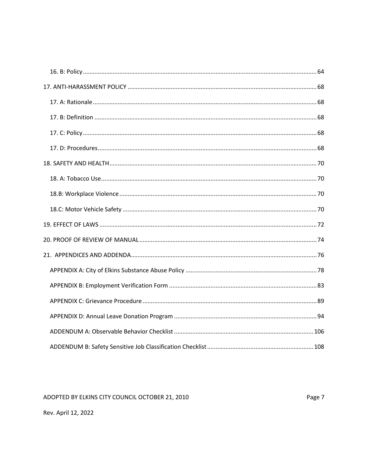#### ADOPTED BY ELKINS CITY COUNCIL OCTOBER 21, 2010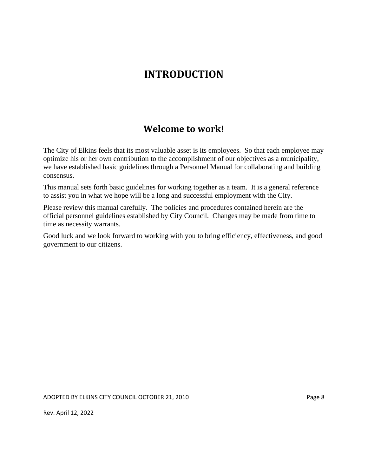## **INTRODUCTION**

## **Welcome to work!**

The City of Elkins feels that its most valuable asset is its employees. So that each employee may optimize his or her own contribution to the accomplishment of our objectives as a municipality, we have established basic guidelines through a Personnel Manual for collaborating and building consensus.

This manual sets forth basic guidelines for working together as a team. It is a general reference to assist you in what we hope will be a long and successful employment with the City.

Please review this manual carefully. The policies and procedures contained herein are the official personnel guidelines established by City Council. Changes may be made from time to time as necessity warrants.

Good luck and we look forward to working with you to bring efficiency, effectiveness, and good government to our citizens.

ADOPTED BY ELKINS CITY COUNCIL OCTOBER 21, 2010 **Page 8** Page 8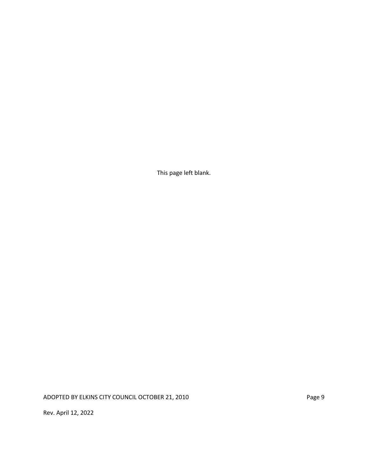ADOPTED BY ELKINS CITY COUNCIL OCTOBER 21, 2010 **Page 9** Page 9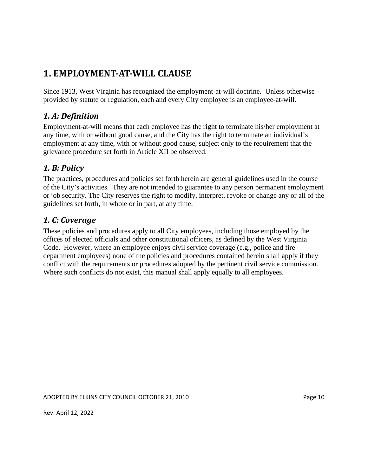## <span id="page-9-0"></span>**1. EMPLOYMENT-AT-WILL CLAUSE**

Since 1913, West Virginia has recognized the employment-at-will doctrine. Unless otherwise provided by statute or regulation, each and every City employee is an employee-at-will.

#### <span id="page-9-1"></span>*1. A: Definition*

Employment-at-will means that each employee has the right to terminate his/her employment at any time, with or without good cause, and the City has the right to terminate an individual's employment at any time, with or without good cause, subject only to the requirement that the grievance procedure set forth in Article XII be observed.

## <span id="page-9-2"></span>*1. B: Policy*

The practices, procedures and policies set forth herein are general guidelines used in the course of the City's activities. They are not intended to guarantee to any person permanent employment or job security. The City reserves the right to modify, interpret, revoke or change any or all of the guidelines set forth, in whole or in part, at any time.

#### <span id="page-9-3"></span>*1. C: Coverage*

These policies and procedures apply to all City employees, including those employed by the offices of elected officials and other constitutional officers, as defined by the West Virginia Code. However, where an employee enjoys civil service coverage (e.g., police and fire department employees) none of the policies and procedures contained herein shall apply if they conflict with the requirements or procedures adopted by the pertinent civil service commission. Where such conflicts do not exist, this manual shall apply equally to all employees.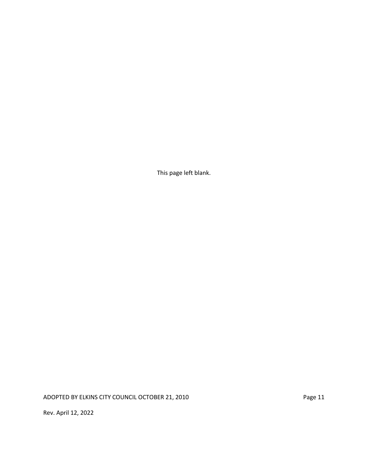ADOPTED BY ELKINS CITY COUNCIL OCTOBER 21, 2010 **Page 11** Page 11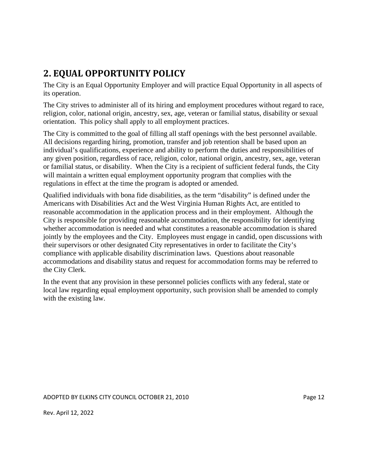## <span id="page-11-0"></span>**2. EQUAL OPPORTUNITY POLICY**

The City is an Equal Opportunity Employer and will practice Equal Opportunity in all aspects of its operation.

The City strives to administer all of its hiring and employment procedures without regard to race, religion, color, national origin, ancestry, sex, age, veteran or familial status, disability or sexual orientation. This policy shall apply to all employment practices.

The City is committed to the goal of filling all staff openings with the best personnel available. All decisions regarding hiring, promotion, transfer and job retention shall be based upon an individual's qualifications, experience and ability to perform the duties and responsibilities of any given position, regardless of race, religion, color, national origin, ancestry, sex, age, veteran or familial status, or disability. When the City is a recipient of sufficient federal funds, the City will maintain a written equal employment opportunity program that complies with the regulations in effect at the time the program is adopted or amended.

Qualified individuals with bona fide disabilities, as the term "disability" is defined under the Americans with Disabilities Act and the West Virginia Human Rights Act, are entitled to reasonable accommodation in the application process and in their employment. Although the City is responsible for providing reasonable accommodation, the responsibility for identifying whether accommodation is needed and what constitutes a reasonable accommodation is shared jointly by the employees and the City. Employees must engage in candid, open discussions with their supervisors or other designated City representatives in order to facilitate the City's compliance with applicable disability discrimination laws. Questions about reasonable accommodations and disability status and request for accommodation forms may be referred to the City Clerk.

In the event that any provision in these personnel policies conflicts with any federal, state or local law regarding equal employment opportunity, such provision shall be amended to comply with the existing law.

ADOPTED BY ELKINS CITY COUNCIL OCTOBER 21, 2010 Page 12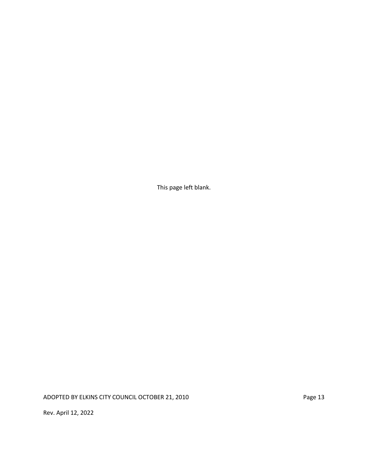ADOPTED BY ELKINS CITY COUNCIL OCTOBER 21, 2010 **Page 13** Page 13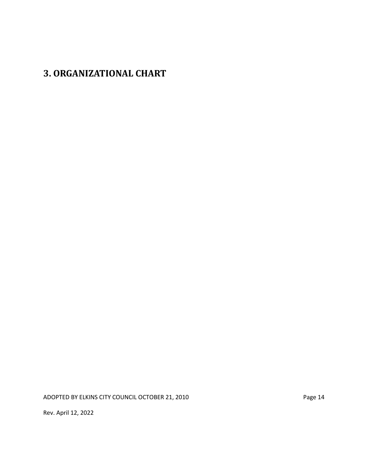## <span id="page-13-0"></span>**3. ORGANIZATIONAL CHART**

ADOPTED BY ELKINS CITY COUNCIL OCTOBER 21, 2010 **Page 14**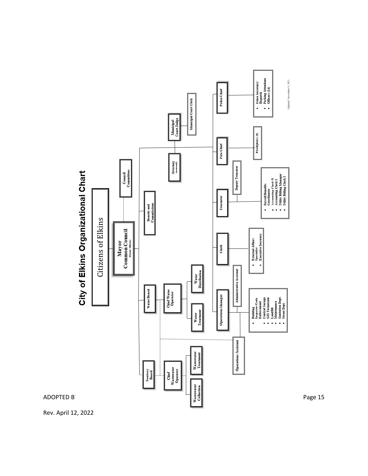

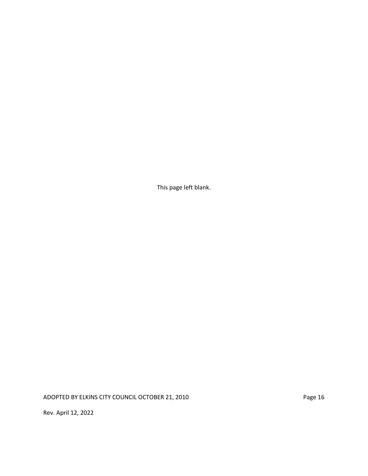ADOPTED BY ELKINS CITY COUNCIL OCTOBER 21, 2010 **Page 16** Page 16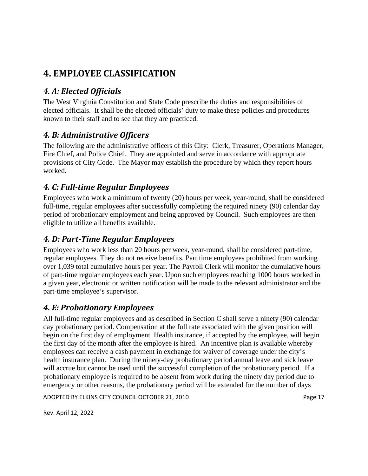## <span id="page-16-0"></span>**4. EMPLOYEE CLASSIFICATION**

#### <span id="page-16-1"></span>*4. A: Elected Officials*

The West Virginia Constitution and State Code prescribe the duties and responsibilities of elected officials. It shall be the elected officials' duty to make these policies and procedures known to their staff and to see that they are practiced.

#### <span id="page-16-2"></span>*4. B: Administrative Officers*

The following are the administrative officers of this City: Clerk, Treasurer, Operations Manager, Fire Chief, and Police Chief. They are appointed and serve in accordance with appropriate provisions of City Code. The Mayor may establish the procedure by which they report hours worked.

#### <span id="page-16-3"></span>*4. C: Full-time Regular Employees*

Employees who work a minimum of twenty (20) hours per week, year-round, shall be considered full-time, regular employees after successfully completing the required ninety (90) calendar day period of probationary employment and being approved by Council. Such employees are then eligible to utilize all benefits available.

#### <span id="page-16-4"></span>*4. D: Part-Time Regular Employees*

Employees who work less than 20 hours per week, year-round, shall be considered part-time, regular employees. They do not receive benefits. Part time employees prohibited from working over 1,039 total cumulative hours per year. The Payroll Clerk will monitor the cumulative hours of part-time regular employees each year. Upon such employees reaching 1000 hours worked in a given year, electronic or written notification will be made to the relevant administrator and the part-time employee's supervisor.

#### <span id="page-16-5"></span>*4. E: Probationary Employees*

All full-time regular employees and as described in Section C shall serve a ninety (90) calendar day probationary period. Compensation at the full rate associated with the given position will begin on the first day of employment. Health insurance, if accepted by the employee, will begin the first day of the month after the employee is hired. An incentive plan is available whereby employees can receive a cash payment in exchange for waiver of coverage under the city's health insurance plan. During the ninety-day probationary period annual leave and sick leave will accrue but cannot be used until the successful completion of the probationary period. If a probationary employee is required to be absent from work during the ninety day period due to emergency or other reasons, the probationary period will be extended for the number of days

ADOPTED BY ELKINS CITY COUNCIL OCTOBER 21, 2010 Page 17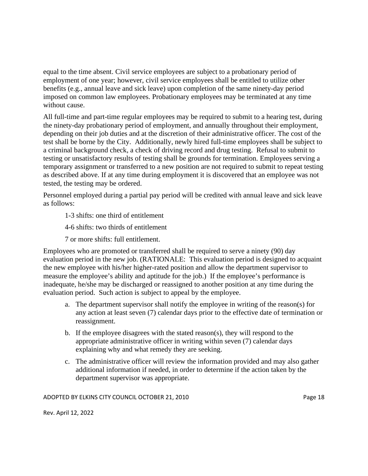equal to the time absent. Civil service employees are subject to a probationary period of employment of one year; however, civil service employees shall be entitled to utilize other benefits (e.g., annual leave and sick leave) upon completion of the same ninety-day period imposed on common law employees. Probationary employees may be terminated at any time without cause.

All full-time and part-time regular employees may be required to submit to a hearing test, during the ninety-day probationary period of employment, and annually throughout their employment, depending on their job duties and at the discretion of their administrative officer. The cost of the test shall be borne by the City. Additionally, newly hired full-time employees shall be subject to a criminal background check, a check of driving record and drug testing. Refusal to submit to testing or unsatisfactory results of testing shall be grounds for termination. Employees serving a temporary assignment or transferred to a new position are not required to submit to repeat testing as described above. If at any time during employment it is discovered that an employee was not tested, the testing may be ordered.

Personnel employed during a partial pay period will be credited with annual leave and sick leave as follows:

- 1-3 shifts: one third of entitlement
- 4-6 shifts: two thirds of entitlement
- 7 or more shifts: full entitlement.

Employees who are promoted or transferred shall be required to serve a ninety (90) day evaluation period in the new job. (RATIONALE: This evaluation period is designed to acquaint the new employee with his/her higher-rated position and allow the department supervisor to measure the employee's ability and aptitude for the job.) If the employee's performance is inadequate, he/she may be discharged or reassigned to another position at any time during the evaluation period. Such action is subject to appeal by the employee.

- a. The department supervisor shall notify the employee in writing of the reason(s) for any action at least seven (7) calendar days prior to the effective date of termination or reassignment.
- b. If the employee disagrees with the stated reason(s), they will respond to the appropriate administrative officer in writing within seven (7) calendar days explaining why and what remedy they are seeking.
- c. The administrative officer will review the information provided and may also gather additional information if needed, in order to determine if the action taken by the department supervisor was appropriate.

ADOPTED BY ELKINS CITY COUNCIL OCTOBER 21, 2010 Page 18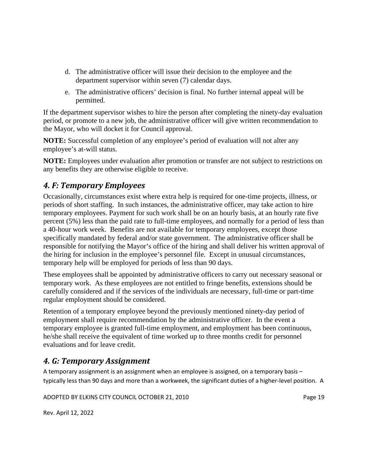- d. The administrative officer will issue their decision to the employee and the department supervisor within seven (7) calendar days.
- e. The administrative officers' decision is final. No further internal appeal will be permitted.

If the department supervisor wishes to hire the person after completing the ninety-day evaluation period, or promote to a new job, the administrative officer will give written recommendation to the Mayor, who will docket it for Council approval.

**NOTE:** Successful completion of any employee's period of evaluation will not alter any employee's at-will status.

**NOTE:** Employees under evaluation after promotion or transfer are not subject to restrictions on any benefits they are otherwise eligible to receive.

### <span id="page-18-0"></span>*4. F: Temporary Employees*

Occasionally, circumstances exist where extra help is required for one-time projects, illness, or periods of short staffing. In such instances, the administrative officer, may take action to hire temporary employees. Payment for such work shall be on an hourly basis, at an hourly rate five percent (5%) less than the paid rate to full-time employees, and normally for a period of less than a 40-hour work week. Benefits are not available for temporary employees, except those specifically mandated by federal and/or state government. The administrative officer shall be responsible for notifying the Mayor's office of the hiring and shall deliver his written approval of the hiring for inclusion in the employee's personnel file. Except in unusual circumstances, temporary help will be employed for periods of less than 90 days.

These employees shall be appointed by administrative officers to carry out necessary seasonal or temporary work. As these employees are not entitled to fringe benefits, extensions should be carefully considered and if the services of the individuals are necessary, full-time or part-time regular employment should be considered.

Retention of a temporary employee beyond the previously mentioned ninety-day period of employment shall require recommendation by the administrative officer. In the event a temporary employee is granted full-time employment, and employment has been continuous, he/she shall receive the equivalent of time worked up to three months credit for personnel evaluations and for leave credit.

#### <span id="page-18-1"></span>*4. G: Temporary Assignment*

<span id="page-18-2"></span>A temporary assignment is an assignment when an employee is assigned, on a temporary basis – typically less than 90 days and more than a workweek, the significant duties of a higher-level position. A

ADOPTED BY ELKINS CITY COUNCIL OCTOBER 21, 2010 Page 19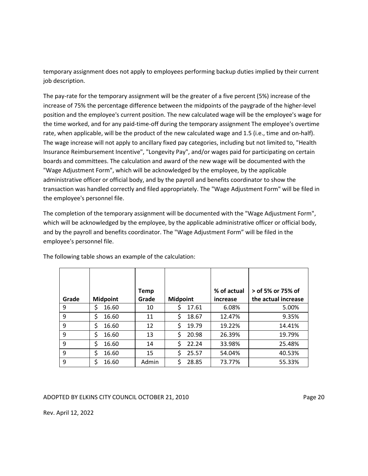temporary assignment does not apply to employees performing backup duties implied by their current job description.

The pay-rate for the temporary assignment will be the greater of a five percent (5%) increase of the increase of 75% the percentage difference between the midpoints of the paygrade of the higher-level position and the employee's current position. The new calculated wage will be the employee's wage for the time worked, and for any paid-time-off during the temporary assignment The employee's overtime rate, when applicable, will be the product of the new calculated wage and 1.5 (i.e., time and on-half). The wage increase will not apply to ancillary fixed pay categories, including but not limited to, "Health Insurance Reimbursement Incentive", "Longevity Pay", and/or wages paid for participating on certain boards and committees. The calculation and award of the new wage will be documented with the "Wage Adjustment Form", which will be acknowledged by the employee, by the applicable administrative officer or official body, and by the payroll and benefits coordinator to show the transaction was handled correctly and filed appropriately. The "Wage Adjustment Form" will be filed in the employee's personnel file.

The completion of the temporary assignment will be documented with the "Wage Adjustment Form", which will be acknowledged by the employee, by the applicable administrative officer or official body, and by the payroll and benefits coordinator. The "Wage Adjustment Form" will be filed in the employee's personnel file.

| Grade | <b>Midpoint</b> | <b>Temp</b><br>Grade | <b>Midpoint</b> | % of actual<br>increase | > of 5% or 75% of<br>the actual increase |
|-------|-----------------|----------------------|-----------------|-------------------------|------------------------------------------|
| 9     | \$<br>16.60     | 10                   | \$<br>17.61     | 6.08%                   | 5.00%                                    |
| 9     | \$<br>16.60     | 11                   | \$<br>18.67     | 12.47%                  | 9.35%                                    |
| 9     | \$<br>16.60     | 12                   | \$<br>19.79     | 19.22%                  | 14.41%                                   |
| 9     | \$<br>16.60     | 13                   | \$<br>20.98     | 26.39%                  | 19.79%                                   |
| 9     | \$<br>16.60     | 14                   | Ś.<br>22.24     | 33.98%                  | 25.48%                                   |
| 9     | \$<br>16.60     | 15                   | \$<br>25.57     | 54.04%                  | 40.53%                                   |
| 9     | \$<br>16.60     | Admin                | Ś<br>28.85      | 73.77%                  | 55.33%                                   |

The following table shows an example of the calculation:

#### ADOPTED BY ELKINS CITY COUNCIL OCTOBER 21, 2010 Page 20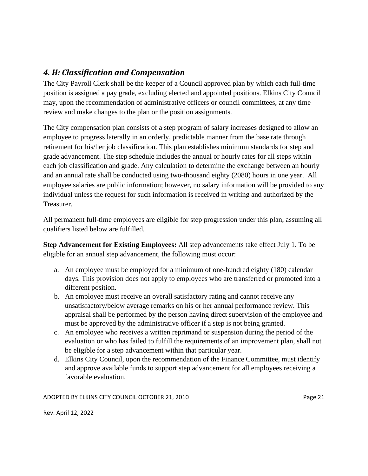#### *4. H: Classification and Compensation*

The City Payroll Clerk shall be the keeper of a Council approved plan by which each full-time position is assigned a pay grade, excluding elected and appointed positions. Elkins City Council may, upon the recommendation of administrative officers or council committees, at any time review and make changes to the plan or the position assignments.

The City compensation plan consists of a step program of salary increases designed to allow an employee to progress laterally in an orderly, predictable manner from the base rate through retirement for his/her job classification. This plan establishes minimum standards for step and grade advancement. The step schedule includes the annual or hourly rates for all steps within each job classification and grade. Any calculation to determine the exchange between an hourly and an annual rate shall be conducted using two-thousand eighty (2080) hours in one year. All employee salaries are public information; however, no salary information will be provided to any individual unless the request for such information is received in writing and authorized by the Treasurer.

All permanent full-time employees are eligible for step progression under this plan, assuming all qualifiers listed below are fulfilled.

**Step Advancement for Existing Employees:** All step advancements take effect July 1. To be eligible for an annual step advancement, the following must occur:

- a. An employee must be employed for a minimum of one-hundred eighty (180) calendar days. This provision does not apply to employees who are transferred or promoted into a different position.
- b. An employee must receive an overall satisfactory rating and cannot receive any unsatisfactory/below average remarks on his or her annual performance review. This appraisal shall be performed by the person having direct supervision of the employee and must be approved by the administrative officer if a step is not being granted.
- c. An employee who receives a written reprimand or suspension during the period of the evaluation or who has failed to fulfill the requirements of an improvement plan, shall not be eligible for a step advancement within that particular year.
- d. Elkins City Council, upon the recommendation of the Finance Committee, must identify and approve available funds to support step advancement for all employees receiving a favorable evaluation.

ADOPTED BY ELKINS CITY COUNCIL OCTOBER 21, 2010 Page 21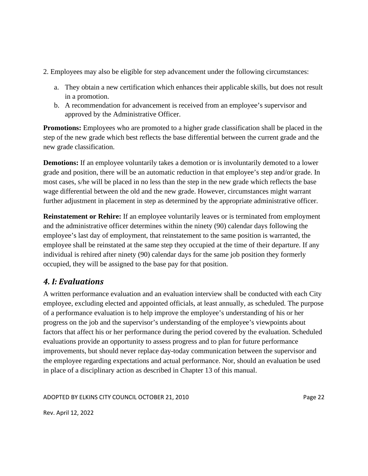- 2. Employees may also be eligible for step advancement under the following circumstances:
	- a. They obtain a new certification which enhances their applicable skills, but does not result in a promotion.
	- b. A recommendation for advancement is received from an employee's supervisor and approved by the Administrative Officer.

**Promotions:** Employees who are promoted to a higher grade classification shall be placed in the step of the new grade which best reflects the base differential between the current grade and the new grade classification.

**Demotions:** If an employee voluntarily takes a demotion or is involuntarily demoted to a lower grade and position, there will be an automatic reduction in that employee's step and/or grade. In most cases, s/he will be placed in no less than the step in the new grade which reflects the base wage differential between the old and the new grade. However, circumstances might warrant further adjustment in placement in step as determined by the appropriate administrative officer.

**Reinstatement or Rehire:** If an employee voluntarily leaves or is terminated from employment and the administrative officer determines within the ninety (90) calendar days following the employee's last day of employment, that reinstatement to the same position is warranted, the employee shall be reinstated at the same step they occupied at the time of their departure. If any individual is rehired after ninety (90) calendar days for the same job position they formerly occupied, they will be assigned to the base pay for that position.

### <span id="page-21-0"></span>*4. I: Evaluations*

A written performance evaluation and an evaluation interview shall be conducted with each City employee, excluding elected and appointed officials, at least annually, as scheduled. The purpose of a performance evaluation is to help improve the employee's understanding of his or her progress on the job and the supervisor's understanding of the employee's viewpoints about factors that affect his or her performance during the period covered by the evaluation. Scheduled evaluations provide an opportunity to assess progress and to plan for future performance improvements, but should never replace day-today communication between the supervisor and the employee regarding expectations and actual performance. Nor, should an evaluation be used in place of a disciplinary action as described in Chapter 13 of this manual.

ADOPTED BY ELKINS CITY COUNCIL OCTOBER 21, 2010 Page 22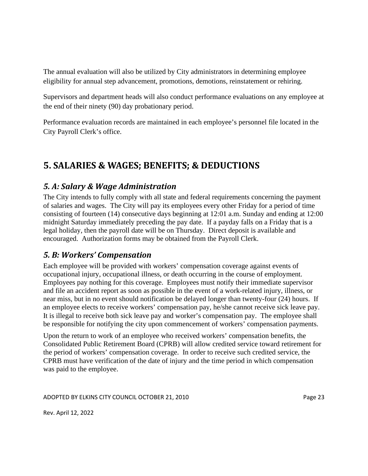The annual evaluation will also be utilized by City administrators in determining employee eligibility for annual step advancement, promotions, demotions, reinstatement or rehiring.

Supervisors and department heads will also conduct performance evaluations on any employee at the end of their ninety (90) day probationary period.

Performance evaluation records are maintained in each employee's personnel file located in the City Payroll Clerk's office.

## <span id="page-22-0"></span>**5. SALARIES & WAGES; BENEFITS; & DEDUCTIONS**

#### <span id="page-22-1"></span>*5. A: Salary & Wage Administration*

The City intends to fully comply with all state and federal requirements concerning the payment of salaries and wages. The City will pay its employees every other Friday for a period of time consisting of fourteen (14) consecutive days beginning at 12:01 a.m. Sunday and ending at 12:00 midnight Saturday immediately preceding the pay date. If a payday falls on a Friday that is a legal holiday, then the payroll date will be on Thursday. Direct deposit is available and encouraged. Authorization forms may be obtained from the Payroll Clerk.

### <span id="page-22-2"></span>*5. B: Workers' Compensation*

Each employee will be provided with workers' compensation coverage against events of occupational injury, occupational illness, or death occurring in the course of employment. Employees pay nothing for this coverage. Employees must notify their immediate supervisor and file an accident report as soon as possible in the event of a work-related injury, illness, or near miss, but in no event should notification be delayed longer than twenty-four (24) hours. If an employee elects to receive workers' compensation pay, he/she cannot receive sick leave pay. It is illegal to receive both sick leave pay and worker's compensation pay. The employee shall be responsible for notifying the city upon commencement of workers' compensation payments.

Upon the return to work of an employee who received workers' compensation benefits, the Consolidated Public Retirement Board (CPRB) will allow credited service toward retirement for the period of workers' compensation coverage. In order to receive such credited service, the CPRB must have verification of the date of injury and the time period in which compensation was paid to the employee.

ADOPTED BY ELKINS CITY COUNCIL OCTOBER 21, 2010 Page 23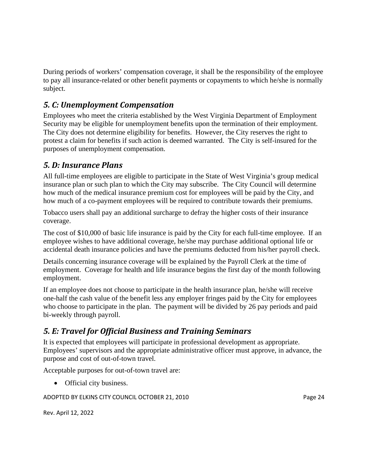During periods of workers' compensation coverage, it shall be the responsibility of the employee to pay all insurance-related or other benefit payments or copayments to which he/she is normally subject.

### <span id="page-23-0"></span>*5. C: Unemployment Compensation*

Employees who meet the criteria established by the West Virginia Department of Employment Security may be eligible for unemployment benefits upon the termination of their employment. The City does not determine eligibility for benefits. However, the City reserves the right to protest a claim for benefits if such action is deemed warranted. The City is self-insured for the purposes of unemployment compensation.

#### <span id="page-23-1"></span>*5. D: Insurance Plans*

All full-time employees are eligible to participate in the State of West Virginia's group medical insurance plan or such plan to which the City may subscribe. The City Council will determine how much of the medical insurance premium cost for employees will be paid by the City, and how much of a co-payment employees will be required to contribute towards their premiums.

Tobacco users shall pay an additional surcharge to defray the higher costs of their insurance coverage.

The cost of \$10,000 of basic life insurance is paid by the City for each full-time employee. If an employee wishes to have additional coverage, he/she may purchase additional optional life or accidental death insurance policies and have the premiums deducted from his/her payroll check.

Details concerning insurance coverage will be explained by the Payroll Clerk at the time of employment. Coverage for health and life insurance begins the first day of the month following employment.

If an employee does not choose to participate in the health insurance plan, he/she will receive one-half the cash value of the benefit less any employer fringes paid by the City for employees who choose to participate in the plan. The payment will be divided by 26 pay periods and paid bi-weekly through payroll.

### <span id="page-23-2"></span>*5. E: Travel for Official Business and Training Seminars*

It is expected that employees will participate in professional development as appropriate. Employees' supervisors and the appropriate administrative officer must approve, in advance, the purpose and cost of out-of-town travel.

Acceptable purposes for out-of-town travel are:

• Official city business.

ADOPTED BY ELKINS CITY COUNCIL OCTOBER 21, 2010 Page 24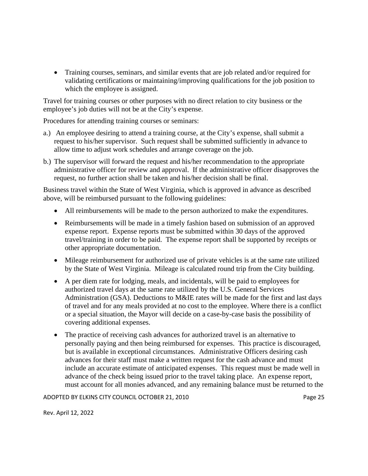• Training courses, seminars, and similar events that are job related and/or required for validating certifications or maintaining/improving qualifications for the job position to which the employee is assigned.

Travel for training courses or other purposes with no direct relation to city business or the employee's job duties will not be at the City's expense.

Procedures for attending training courses or seminars:

- a.) An employee desiring to attend a training course, at the City's expense, shall submit a request to his/her supervisor. Such request shall be submitted sufficiently in advance to allow time to adjust work schedules and arrange coverage on the job.
- b.) The supervisor will forward the request and his/her recommendation to the appropriate administrative officer for review and approval. If the administrative officer disapproves the request, no further action shall be taken and his/her decision shall be final.

Business travel within the State of West Virginia, which is approved in advance as described above, will be reimbursed pursuant to the following guidelines:

- All reimbursements will be made to the person authorized to make the expenditures.
- Reimbursements will be made in a timely fashion based on submission of an approved expense report. Expense reports must be submitted within 30 days of the approved travel/training in order to be paid. The expense report shall be supported by receipts or other appropriate documentation.
- Mileage reimbursement for authorized use of private vehicles is at the same rate utilized by the State of West Virginia. Mileage is calculated round trip from the City building.
- A per diem rate for lodging, meals, and incidentals, will be paid to employees for authorized travel days at the same rate utilized by the U.S. General Services Administration (GSA). Deductions to M&IE rates will be made for the first and last days of travel and for any meals provided at no cost to the employee. Where there is a conflict or a special situation, the Mayor will decide on a case-by-case basis the possibility of covering additional expenses.
- The practice of receiving cash advances for authorized travel is an alternative to personally paying and then being reimbursed for expenses. This practice is discouraged, but is available in exceptional circumstances. Administrative Officers desiring cash advances for their staff must make a written request for the cash advance and must include an accurate estimate of anticipated expenses. This request must be made well in advance of the check being issued prior to the travel taking place. An expense report, must account for all monies advanced, and any remaining balance must be returned to the

ADOPTED BY ELKINS CITY COUNCIL OCTOBER 21, 2010 Page 25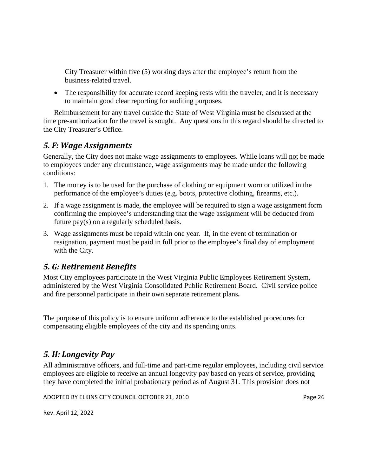City Treasurer within five (5) working days after the employee's return from the business-related travel.

• The responsibility for accurate record keeping rests with the traveler, and it is necessary to maintain good clear reporting for auditing purposes.

Reimbursement for any travel outside the State of West Virginia must be discussed at the time pre-authorization for the travel is sought. Any questions in this regard should be directed to the City Treasurer's Office.

#### <span id="page-25-0"></span>*5. F: Wage Assignments*

Generally, the City does not make wage assignments to employees. While loans will not be made to employees under any circumstance, wage assignments may be made under the following conditions:

- 1. The money is to be used for the purchase of clothing or equipment worn or utilized in the performance of the employee's duties (e.g. boots, protective clothing, firearms, etc.).
- 2. If a wage assignment is made, the employee will be required to sign a wage assignment form confirming the employee's understanding that the wage assignment will be deducted from future pay(s) on a regularly scheduled basis.
- 3. Wage assignments must be repaid within one year. If, in the event of termination or resignation, payment must be paid in full prior to the employee's final day of employment with the City.

#### <span id="page-25-1"></span>*5. G: Retirement Benefits*

Most City employees participate in the West Virginia Public Employees Retirement System, administered by the West Virginia Consolidated Public Retirement Board. Civil service police and fire personnel participate in their own separate retirement plans**.**

The purpose of this policy is to ensure uniform adherence to the established procedures for compensating eligible employees of the city and its spending units.

### *5. H: Longevity Pay*

All administrative officers, and full-time and part-time regular employees, including civil service employees are eligible to receive an annual longevity pay based on years of service, providing they have completed the initial probationary period as of August 31. This provision does not

ADOPTED BY ELKINS CITY COUNCIL OCTOBER 21, 2010 Page 26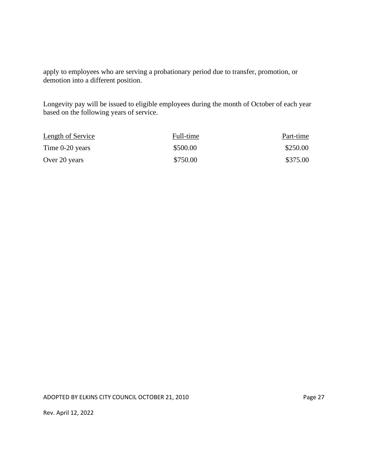apply to employees who are serving a probationary period due to transfer, promotion, or demotion into a different position.

Longevity pay will be issued to eligible employees during the month of October of each year based on the following years of service.

| <b>Length of Service</b> | Full-time | Part-time |
|--------------------------|-----------|-----------|
| Time 0-20 years          | \$500.00  | \$250.00  |
| Over 20 years            | \$750.00  | \$375.00  |

ADOPTED BY ELKINS CITY COUNCIL OCTOBER 21, 2010 **Page 27** Page 27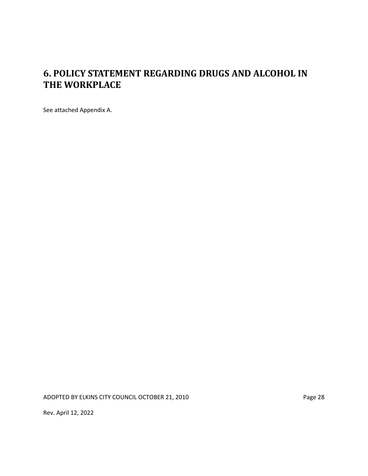## <span id="page-27-0"></span>**6. POLICY STATEMENT REGARDING DRUGS AND ALCOHOL IN THE WORKPLACE**

See attached Appendix A.

ADOPTED BY ELKINS CITY COUNCIL OCTOBER 21, 2010 **Page 28** Page 28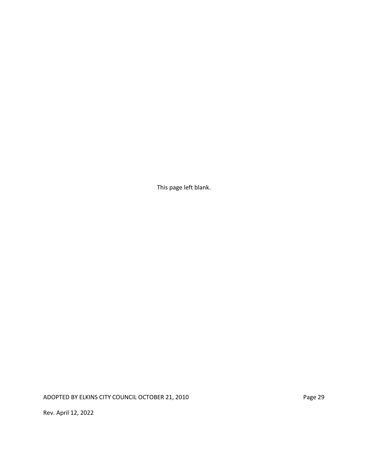ADOPTED BY ELKINS CITY COUNCIL OCTOBER 21, 2010 **Page 29** Page 29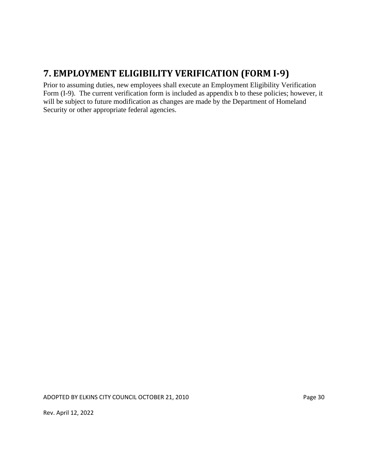## <span id="page-29-0"></span>**7. EMPLOYMENT ELIGIBILITY VERIFICATION (FORM I-9)**

Prior to assuming duties, new employees shall execute an Employment Eligibility Verification Form (I-9). The current verification form is included as appendix b to these policies; however, it will be subject to future modification as changes are made by the Department of Homeland Security or other appropriate federal agencies.

ADOPTED BY ELKINS CITY COUNCIL OCTOBER 21, 2010 Page 30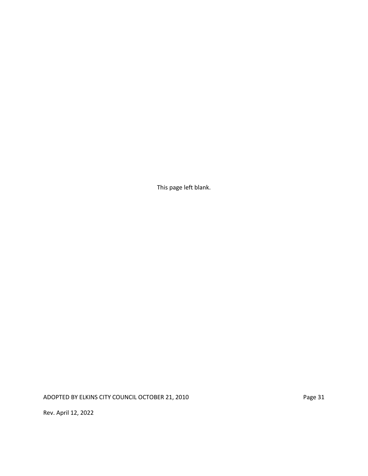ADOPTED BY ELKINS CITY COUNCIL OCTOBER 21, 2010 **Page 31** Page 31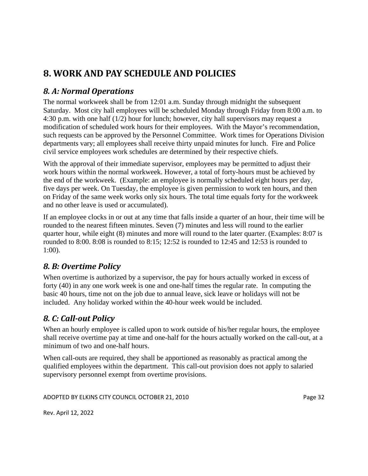## <span id="page-31-0"></span>**8. WORK AND PAY SCHEDULE AND POLICIES**

#### <span id="page-31-1"></span>*8. A: Normal Operations*

The normal workweek shall be from 12:01 a.m. Sunday through midnight the subsequent Saturday. Most city hall employees will be scheduled Monday through Friday from 8:00 a.m. to 4:30 p.m. with one half (1/2) hour for lunch; however, city hall supervisors may request a modification of scheduled work hours for their employees. With the Mayor's recommendation, such requests can be approved by the Personnel Committee. Work times for Operations Division departments vary; all employees shall receive thirty unpaid minutes for lunch. Fire and Police civil service employees work schedules are determined by their respective chiefs.

With the approval of their immediate supervisor, employees may be permitted to adjust their work hours within the normal workweek. However, a total of forty-hours must be achieved by the end of the workweek. (Example: an employee is normally scheduled eight hours per day, five days per week. On Tuesday, the employee is given permission to work ten hours, and then on Friday of the same week works only six hours. The total time equals forty for the workweek and no other leave is used or accumulated).

If an employee clocks in or out at any time that falls inside a quarter of an hour, their time will be rounded to the nearest fifteen minutes. Seven (7) minutes and less will round to the earlier quarter hour, while eight (8) minutes and more will round to the later quarter. (Examples: 8:07 is rounded to 8:00. 8:08 is rounded to 8:15; 12:52 is rounded to 12:45 and 12:53 is rounded to 1:00).

#### <span id="page-31-2"></span>*8. B: Overtime Policy*

When overtime is authorized by a supervisor, the pay for hours actually worked in excess of forty (40) in any one work week is one and one-half times the regular rate. In computing the basic 40 hours, time not on the job due to annual leave, sick leave or holidays will not be included. Any holiday worked within the 40-hour week would be included.

#### <span id="page-31-3"></span>*8. C: Call-out Policy*

When an hourly employee is called upon to work outside of his/her regular hours, the employee shall receive overtime pay at time and one-half for the hours actually worked on the call-out, at a minimum of two and one-half hours.

When call-outs are required, they shall be apportioned as reasonably as practical among the qualified employees within the department. This call-out provision does not apply to salaried supervisory personnel exempt from overtime provisions.

ADOPTED BY ELKINS CITY COUNCIL OCTOBER 21, 2010 Page 32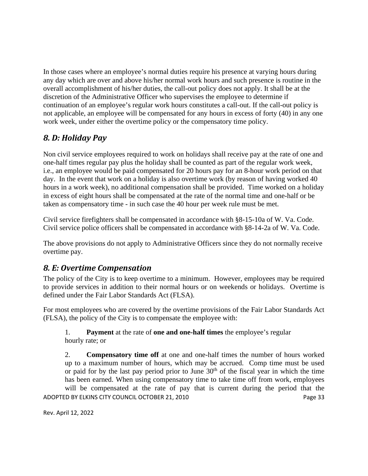In those cases where an employee's normal duties require his presence at varying hours during any day which are over and above his/her normal work hours and such presence is routine in the overall accomplishment of his/her duties, the call-out policy does not apply. It shall be at the discretion of the Administrative Officer who supervises the employee to determine if continuation of an employee's regular work hours constitutes a call-out. If the call-out policy is not applicable, an employee will be compensated for any hours in excess of forty (40) in any one work week, under either the overtime policy or the compensatory time policy.

### <span id="page-32-0"></span>*8. D: Holiday Pay*

<span id="page-32-1"></span>Non civil service employees required to work on holidays shall receive pay at the rate of one and one-half times regular pay plus the holiday shall be counted as part of the regular work week, i.e., an employee would be paid compensated for 20 hours pay for an 8-hour work period on that day. In the event that work on a holiday is also overtime work (by reason of having worked 40 hours in a work week), no additional compensation shall be provided. Time worked on a holiday in excess of eight hours shall be compensated at the rate of the normal time and one-half or be taken as compensatory time - in such case the 40 hour per week rule must be met.

Civil service firefighters shall be compensated in accordance with §8-15-10a of W. Va. Code. Civil service police officers shall be compensated in accordance with §8-14-2a of W. Va. Code.

The above provisions do not apply to Administrative Officers since they do not normally receive overtime pay.

#### *8. E: Overtime Compensation*

The policy of the City is to keep overtime to a minimum. However, employees may be required to provide services in addition to their normal hours or on weekends or holidays. Overtime is defined under the Fair Labor Standards Act (FLSA).

For most employees who are covered by the overtime provisions of the Fair Labor Standards Act (FLSA), the policy of the City is to compensate the employee with:

1. **Payment** at the rate of **one and one-half times** the employee's regular hourly rate; or

2. **Compensatory time off** at one and one-half times the number of hours worked up to a maximum number of hours, which may be accrued. Comp time must be used or paid for by the last pay period prior to June  $30<sup>th</sup>$  of the fiscal year in which the time has been earned. When using compensatory time to take time off from work, employees

ADOPTED BY ELKINS CITY COUNCIL OCTOBER 21, 2010 Page 33 will be compensated at the rate of pay that is current during the period that the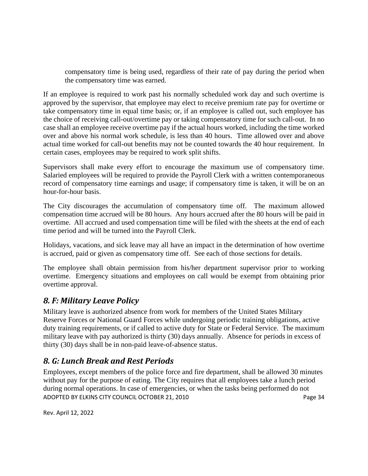compensatory time is being used, regardless of their rate of pay during the period when the compensatory time was earned.

If an employee is required to work past his normally scheduled work day and such overtime is approved by the supervisor, that employee may elect to receive premium rate pay for overtime or take compensatory time in equal time basis; or, if an employee is called out, such employee has the choice of receiving call-out/overtime pay or taking compensatory time for such call-out. In no case shall an employee receive overtime pay if the actual hours worked, including the time worked over and above his normal work schedule, is less than 40 hours. Time allowed over and above actual time worked for call-out benefits may not be counted towards the 40 hour requirement. In certain cases, employees may be required to work split shifts.

Supervisors shall make every effort to encourage the maximum use of compensatory time. Salaried employees will be required to provide the Payroll Clerk with a written contemporaneous record of compensatory time earnings and usage; if compensatory time is taken, it will be on an hour-for-hour basis.

The City discourages the accumulation of compensatory time off. The maximum allowed compensation time accrued will be 80 hours. Any hours accrued after the 80 hours will be paid in overtime. All accrued and used compensation time will be filed with the sheets at the end of each time period and will be turned into the Payroll Clerk.

Holidays, vacations, and sick leave may all have an impact in the determination of how overtime is accrued, paid or given as compensatory time off. See each of those sections for details.

The employee shall obtain permission from his/her department supervisor prior to working overtime. Emergency situations and employees on call would be exempt from obtaining prior overtime approval.

### <span id="page-33-0"></span>*8. F: Military Leave Policy*

Military leave is authorized absence from work for members of the United States Military Reserve Forces or National Guard Forces while undergoing periodic training obligations, active duty training requirements, or if called to active duty for State or Federal Service. The maximum military leave with pay authorized is thirty (30) days annually. Absence for periods in excess of thirty (30) days shall be in non-paid leave-of-absence status.

#### <span id="page-33-1"></span>*8. G: Lunch Break and Rest Periods*

ADOPTED BY ELKINS CITY COUNCIL OCTOBER 21, 2010 Page 34 Employees, except members of the police force and fire department, shall be allowed 30 minutes without pay for the purpose of eating. The City requires that all employees take a lunch period during normal operations. In case of emergencies, or when the tasks being performed do not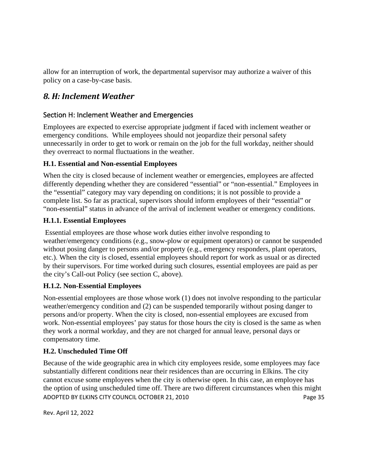allow for an interruption of work, the departmental supervisor may authorize a waiver of this policy on a case-by-case basis.

#### <span id="page-34-0"></span>*8. H: Inclement Weather*

#### <span id="page-34-1"></span>Section H: Inclement Weather and Emergencies

Employees are expected to exercise appropriate judgment if faced with inclement weather or emergency conditions. While employees should not jeopardize their personal safety unnecessarily in order to get to work or remain on the job for the full workday, neither should they overreact to normal fluctuations in the weather.

#### **H.1. Essential and Non-essential Employees**

When the city is closed because of inclement weather or emergencies, employees are affected differently depending whether they are considered "essential" or "non-essential." Employees in the "essential" category may vary depending on conditions; it is not possible to provide a complete list. So far as practical, supervisors should inform employees of their "essential" or "non-essential" status in advance of the arrival of inclement weather or emergency conditions.

#### **H.1.1. Essential Employees**

Essential employees are those whose work duties either involve responding to weather/emergency conditions (e.g., snow-plow or equipment operators) or cannot be suspended without posing danger to persons and/or property (e.g., emergency responders, plant operators, etc.). When the city is closed, essential employees should report for work as usual or as directed by their supervisors. For time worked during such closures, essential employees are paid as per the city's Call-out Policy (see section C, above).

#### **H.1.2. Non-Essential Employees**

Non-essential employees are those whose work (1) does not involve responding to the particular weather/emergency condition and (2) can be suspended temporarily without posing danger to persons and/or property. When the city is closed, non-essential employees are excused from work. Non-essential employees' pay status for those hours the city is closed is the same as when they work a normal workday, and they are not charged for annual leave, personal days or compensatory time.

#### **H.2. Unscheduled Time Off**

ADOPTED BY ELKINS CITY COUNCIL OCTOBER 21, 2010 Page 35 Because of the wide geographic area in which city employees reside, some employees may face substantially different conditions near their residences than are occurring in Elkins. The city cannot excuse some employees when the city is otherwise open. In this case, an employee has the option of using unscheduled time off. There are two different circumstances when this might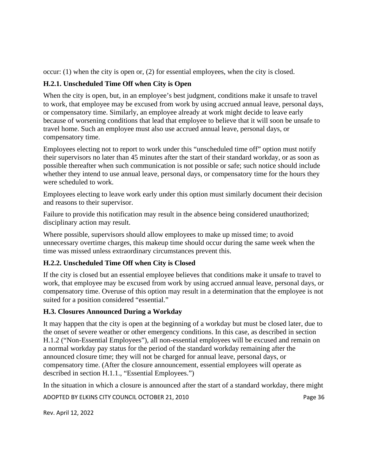occur: (1) when the city is open or, (2) for essential employees, when the city is closed.

#### **H.2.1. Unscheduled Time Off when City is Open**

When the city is open, but, in an employee's best judgment, conditions make it unsafe to travel to work, that employee may be excused from work by using accrued annual leave, personal days, or compensatory time. Similarly, an employee already at work might decide to leave early because of worsening conditions that lead that employee to believe that it will soon be unsafe to travel home. Such an employee must also use accrued annual leave, personal days, or compensatory time.

Employees electing not to report to work under this "unscheduled time off" option must notify their supervisors no later than 45 minutes after the start of their standard workday, or as soon as possible thereafter when such communication is not possible or safe; such notice should include whether they intend to use annual leave, personal days, or compensatory time for the hours they were scheduled to work.

Employees electing to leave work early under this option must similarly document their decision and reasons to their supervisor.

Failure to provide this notification may result in the absence being considered unauthorized; disciplinary action may result.

Where possible, supervisors should allow employees to make up missed time; to avoid unnecessary overtime charges, this makeup time should occur during the same week when the time was missed unless extraordinary circumstances prevent this.

#### **H.2.2. Unscheduled Time Off when City is Closed**

If the city is closed but an essential employee believes that conditions make it unsafe to travel to work, that employee may be excused from work by using accrued annual leave, personal days, or compensatory time. Overuse of this option may result in a determination that the employee is not suited for a position considered "essential."

#### **H.3. Closures Announced During a Workday**

It may happen that the city is open at the beginning of a workday but must be closed later, due to the onset of severe weather or other emergency conditions. In this case, as described in section H.1.2 ("Non-Essential Employees"), all non-essential employees will be excused and remain on a normal workday pay status for the period of the standard workday remaining after the announced closure time; they will not be charged for annual leave, personal days, or compensatory time. (After the closure announcement, essential employees will operate as described in section H.1.1., "Essential Employees.")

In the situation in which a closure is announced after the start of a standard workday, there might

ADOPTED BY ELKINS CITY COUNCIL OCTOBER 21, 2010 Page 36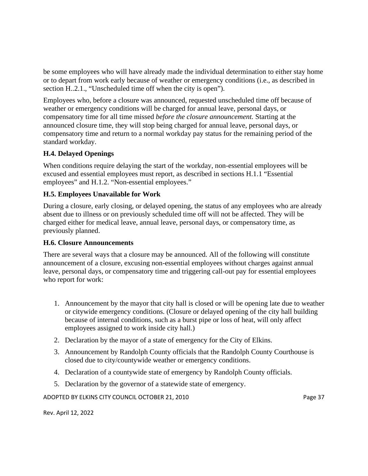be some employees who will have already made the individual determination to either stay home or to depart from work early because of weather or emergency conditions (i.e., as described in section H..2.1., "Unscheduled time off when the city is open").

Employees who, before a closure was announced, requested unscheduled time off because of weather or emergency conditions will be charged for annual leave, personal days, or compensatory time for all time missed *before the closure announcement.* Starting at the announced closure time, they will stop being charged for annual leave, personal days, or compensatory time and return to a normal workday pay status for the remaining period of the standard workday.

#### **H.4. Delayed Openings**

When conditions require delaying the start of the workday, non-essential employees will be excused and essential employees must report, as described in sections H.1.1 "Essential employees" and H.1.2. "Non-essential employees."

#### **H.5. Employees Unavailable for Work**

During a closure, early closing, or delayed opening, the status of any employees who are already absent due to illness or on previously scheduled time off will not be affected. They will be charged either for medical leave, annual leave, personal days, or compensatory time, as previously planned.

#### **H.6. Closure Announcements**

There are several ways that a closure may be announced. All of the following will constitute announcement of a closure, excusing non-essential employees without charges against annual leave, personal days, or compensatory time and triggering call-out pay for essential employees who report for work:

- 1. Announcement by the mayor that city hall is closed or will be opening late due to weather or citywide emergency conditions. (Closure or delayed opening of the city hall building because of internal conditions, such as a burst pipe or loss of heat, will only affect employees assigned to work inside city hall.)
- 2. Declaration by the mayor of a state of emergency for the City of Elkins.
- 3. Announcement by Randolph County officials that the Randolph County Courthouse is closed due to city/countywide weather or emergency conditions.
- 4. Declaration of a countywide state of emergency by Randolph County officials.
- 5. Declaration by the governor of a statewide state of emergency.

ADOPTED BY ELKINS CITY COUNCIL OCTOBER 21, 2010 Page 37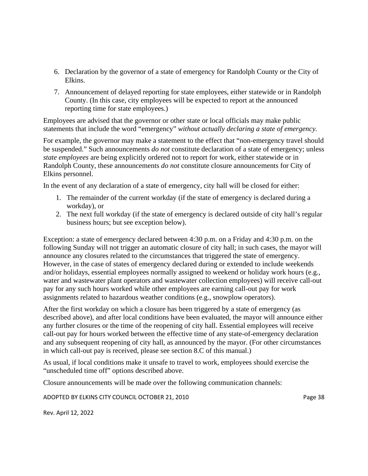- 6. Declaration by the governor of a state of emergency for Randolph County or the City of Elkins.
- 7. Announcement of delayed reporting for state employees, either statewide or in Randolph County. (In this case, city employees will be expected to report at the announced reporting time for state employees.)

Employees are advised that the governor or other state or local officials may make public statements that include the word "emergency" *without actually declaring a state of emergency.*

For example, the governor may make a statement to the effect that "non-emergency travel should be suspended." Such announcements *do not* constitute declaration of a state of emergency; unless *state employees* are being explicitly ordered not to report for work, either statewide or in Randolph County, these announcements *do not* constitute closure announcements for City of Elkins personnel.

In the event of any declaration of a state of emergency, city hall will be closed for either:

- 1. The remainder of the current workday (if the state of emergency is declared during a workday), or
- 2. The next full workday (if the state of emergency is declared outside of city hall's regular business hours; but see exception below).

Exception: a state of emergency declared between 4:30 p.m. on a Friday and 4:30 p.m. on the following Sunday will not trigger an automatic closure of city hall; in such cases, the mayor will announce any closures related to the circumstances that triggered the state of emergency. However, in the case of states of emergency declared during or extended to include weekends and/or holidays, essential employees normally assigned to weekend or holiday work hours (e.g., water and wastewater plant operators and wastewater collection employees) will receive call-out pay for any such hours worked while other employees are earning call-out pay for work assignments related to hazardous weather conditions (e.g., snowplow operators).

After the first workday on which a closure has been triggered by a state of emergency (as described above), and after local conditions have been evaluated, the mayor will announce either any further closures or the time of the reopening of city hall. Essential employees will receive call-out pay for hours worked between the effective time of any state-of-emergency declaration and any subsequent reopening of city hall, as announced by the mayor. (For other circumstances in which call-out pay is received, please see section 8.C of this manual.)

As usual, if local conditions make it unsafe to travel to work, employees should exercise the "unscheduled time off" options described above.

Closure announcements will be made over the following communication channels:

ADOPTED BY ELKINS CITY COUNCIL OCTOBER 21, 2010 Page 38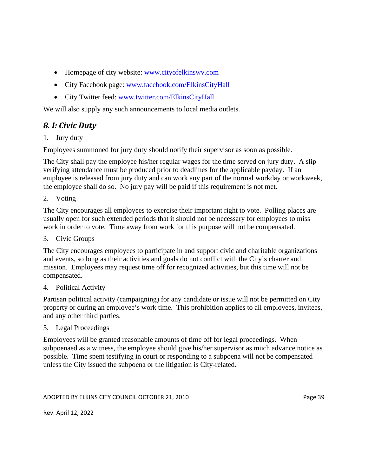- Homepage of city website: [www.cityofelkinswv.com](http://www.cityofelkinswv.com/)
- City Facebook page: [www.facebook.com/ElkinsCityHall](http://www.facebook.com/ElkinsCityHall)
- City Twitter feed: [www.twitter.com/ElkinsCityHall](http://www.twitter.com/ElkinsCityHall)

We will also supply any such announcements to local media outlets.

### *8. I: Civic Duty*

1. Jury duty

Employees summoned for jury duty should notify their supervisor as soon as possible.

The City shall pay the employee his/her regular wages for the time served on jury duty. A slip verifying attendance must be produced prior to deadlines for the applicable payday. If an employee is released from jury duty and can work any part of the normal workday or workweek, the employee shall do so. No jury pay will be paid if this requirement is not met.

#### 2. Voting

The City encourages all employees to exercise their important right to vote. Polling places are usually open for such extended periods that it should not be necessary for employees to miss work in order to vote. Time away from work for this purpose will not be compensated.

#### 3. Civic Groups

The City encourages employees to participate in and support civic and charitable organizations and events, so long as their activities and goals do not conflict with the City's charter and mission. Employees may request time off for recognized activities, but this time will not be compensated.

#### 4. Political Activity

Partisan political activity (campaigning) for any candidate or issue will not be permitted on City property or during an employee's work time. This prohibition applies to all employees, invitees, and any other third parties.

#### 5. Legal Proceedings

Employees will be granted reasonable amounts of time off for legal proceedings. When subpoenaed as a witness, the employee should give his/her supervisor as much advance notice as possible. Time spent testifying in court or responding to a subpoena will not be compensated unless the City issued the subpoena or the litigation is City-related.

#### ADOPTED BY ELKINS CITY COUNCIL OCTOBER 21, 2010 Page 39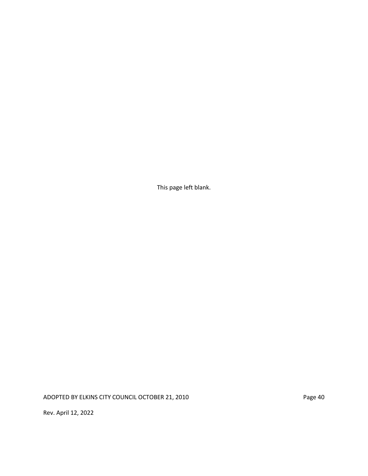This page left blank.

ADOPTED BY ELKINS CITY COUNCIL OCTOBER 21, 2010 **Page 40** Page 40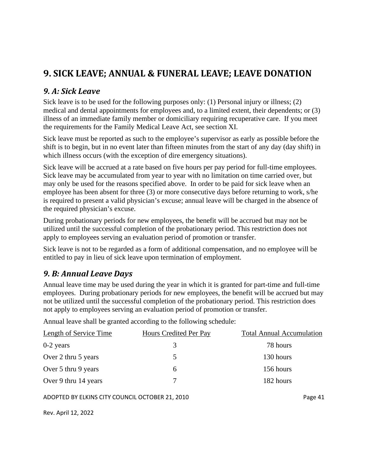# **9. SICK LEAVE; ANNUAL & FUNERAL LEAVE; LEAVE DONATION**

### *9. A: Sick Leave*

Sick leave is to be used for the following purposes only: (1) Personal injury or illness; (2) medical and dental appointments for employees and, to a limited extent, their dependents; or (3) illness of an immediate family member or domiciliary requiring recuperative care. If you meet the requirements for the Family Medical Leave Act, see section XI.

Sick leave must be reported as such to the employee's supervisor as early as possible before the shift is to begin, but in no event later than fifteen minutes from the start of any day (day shift) in which illness occurs (with the exception of dire emergency situations).

Sick leave will be accrued at a rate based on five hours per pay period for full-time employees. Sick leave may be accumulated from year to year with no limitation on time carried over, but may only be used for the reasons specified above. In order to be paid for sick leave when an employee has been absent for three (3) or more consecutive days before returning to work, s/he is required to present a valid physician's excuse; annual leave will be charged in the absence of the required physician's excuse.

During probationary periods for new employees, the benefit will be accrued but may not be utilized until the successful completion of the probationary period. This restriction does not apply to employees serving an evaluation period of promotion or transfer.

Sick leave is not to be regarded as a form of additional compensation, and no employee will be entitled to pay in lieu of sick leave upon termination of employment.

# *9. B: Annual Leave Days*

Annual leave time may be used during the year in which it is granted for part-time and full-time employees. During probationary periods for new employees, the benefit will be accrued but may not be utilized until the successful completion of the probationary period. This restriction does not apply to employees serving an evaluation period of promotion or transfer.

Annual leave shall be granted according to the following schedule:

| Length of Service Time                          | Hours Credited Per Pay | <b>Total Annual Accumulation</b> |
|-------------------------------------------------|------------------------|----------------------------------|
| $0-2$ years                                     | 3                      | 78 hours                         |
| Over 2 thru 5 years                             | 5                      | 130 hours                        |
| Over 5 thru 9 years                             | 6                      | 156 hours                        |
| Over 9 thru 14 years                            |                        | 182 hours                        |
| ADOPTED BY ELKINS CITY COUNCIL OCTOBER 21, 2010 |                        |                                  |
| Rev. April 12, 2022                             |                        |                                  |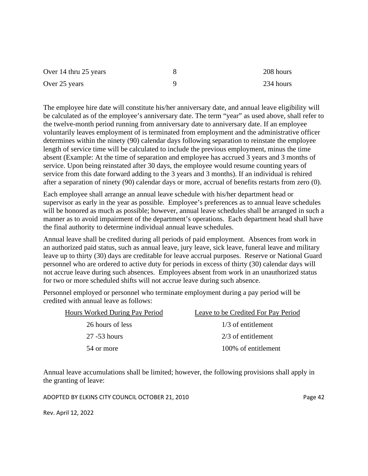| Over 14 thru 25 years | 208 hours |
|-----------------------|-----------|
| Over 25 years         | 234 hours |

The employee hire date will constitute his/her anniversary date, and annual leave eligibility will be calculated as of the employee's anniversary date. The term "year" as used above, shall refer to the twelve-month period running from anniversary date to anniversary date. If an employee voluntarily leaves employment of is terminated from employment and the administrative officer determines within the ninety (90) calendar days following separation to reinstate the employee length of service time will be calculated to include the previous employment, minus the time absent (Example: At the time of separation and employee has accrued 3 years and 3 months of service. Upon being reinstated after 30 days, the employee would resume counting years of service from this date forward adding to the 3 years and 3 months). If an individual is rehired after a separation of ninety (90) calendar days or more, accrual of benefits restarts from zero (0).

Each employee shall arrange an annual leave schedule with his/her department head or supervisor as early in the year as possible. Employee's preferences as to annual leave schedules will be honored as much as possible; however, annual leave schedules shall be arranged in such a manner as to avoid impairment of the department's operations. Each department head shall have the final authority to determine individual annual leave schedules.

Annual leave shall be credited during all periods of paid employment. Absences from work in an authorized paid status, such as annual leave, jury leave, sick leave, funeral leave and military leave up to thirty (30) days are creditable for leave accrual purposes. Reserve or National Guard personnel who are ordered to active duty for periods in excess of thirty (30) calendar days will not accrue leave during such absences. Employees absent from work in an unauthorized status for two or more scheduled shifts will not accrue leave during such absence.

Personnel employed or personnel who terminate employment during a pay period will be credited with annual leave as follows:

| Hours Worked During Pay Period | Leave to be Credited For Pay Period |
|--------------------------------|-------------------------------------|
| 26 hours of less               | 1/3 of entitlement                  |
| 27 -53 hours                   | 2/3 of entitlement                  |
| 54 or more                     | 100% of entitlement                 |

Annual leave accumulations shall be limited; however, the following provisions shall apply in the granting of leave:

ADOPTED BY ELKINS CITY COUNCIL OCTOBER 21, 2010 Page 42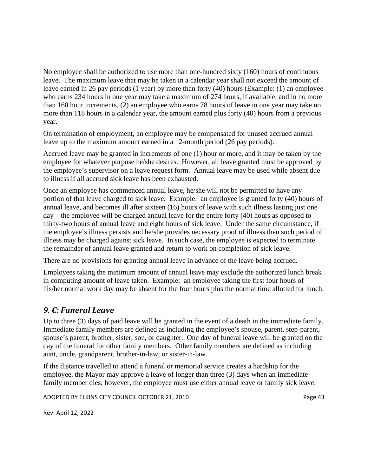No employee shall be authorized to use more than one-hundred sixty (160) hours of continuous leave. The maximum leave that may be taken in a calendar year shall not exceed the amount of leave earned in 26 pay periods (1 year) by more than forty (40) hours (Example: (1) an employee who earns 234 hours in one year may take a maximum of 274 hours, if available, and in no more than 160 hour increments. (2) an employee who earns 78 hours of leave in one year may take no more than 118 hours in a calendar year, the amount earned plus forty (40) hours from a previous year.

On termination of employment, an employee may be compensated for unused accrued annual leave up to the maximum amount earned in a 12-month period (26 pay periods).

Accrued leave may be granted in increments of one (1) hour or more, and it may be taken by the employee for whatever purpose he/she desires. However, all leave granted must be approved by the employee's supervisor on a leave request form. Annual leave may be used while absent due to illness if all accrued sick leave has been exhausted.

Once an employee has commenced annual leave, he/she will not be permitted to have any portion of that leave charged to sick leave. Example: an employee is granted forty (40) hours of annual leave, and becomes ill after sixteen (16) hours of leave with such illness lasting just one day – the employee will be charged annual leave for the entire forty (40) hours as opposed to thirty-two hours of annual leave and eight hours of sick leave. Under the same circumstance, if the employee's illness persists and he/she provides necessary proof of illness then such period of illness may be charged against sick leave. In such case, the employee is expected to terminate the remainder of annual leave granted and return to work on completion of sick leave.

There are no provisions for granting annual leave in advance of the leave being accrued.

Employees taking the minimum amount of annual leave may exclude the authorized lunch break in computing amount of leave taken. Example: an employee taking the first four hours of his/her normal work day may be absent for the four hours plus the normal time allotted for lunch.

#### *9. C: Funeral Leave*

Up to three (3) days of paid leave will be granted in the event of a death in the immediate family. Immediate family members are defined as including the employee's spouse, parent, step-parent, spouse's parent, brother, sister, son, or daughter. One day of funeral leave will be granted on the day of the funeral for other family members. Other family members are defined as including aunt, uncle, grandparent, brother-in-law, or sister-in-law.

If the distance travelled to attend a funeral or memorial service creates a hardship for the employee, the Mayor may approve a leave of longer than three (3) days when an immediate family member dies; however, the employee must use either annual leave or family sick leave.

ADOPTED BY ELKINS CITY COUNCIL OCTOBER 21, 2010 Page 43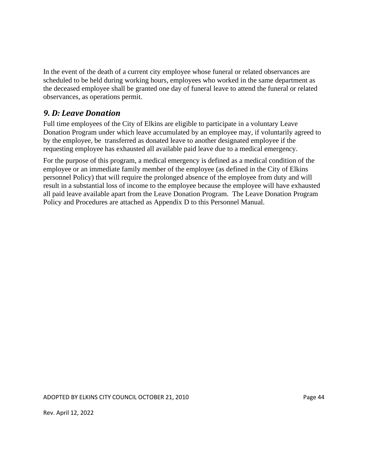In the event of the death of a current city employee whose funeral or related observances are scheduled to be held during working hours, employees who worked in the same department as the deceased employee shall be granted one day of funeral leave to attend the funeral or related observances, as operations permit.

### *9. D: Leave Donation*

Full time employees of the City of Elkins are eligible to participate in a voluntary Leave Donation Program under which leave accumulated by an employee may, if voluntarily agreed to by the employee, be transferred as donated leave to another designated employee if the requesting employee has exhausted all available paid leave due to a medical emergency.

For the purpose of this program, a medical emergency is defined as a medical condition of the employee or an immediate family member of the employee (as defined in the City of Elkins personnel Policy) that will require the prolonged absence of the employee from duty and will result in a substantial loss of income to the employee because the employee will have exhausted all paid leave available apart from the Leave Donation Program. The Leave Donation Program Policy and Procedures are attached as Appendix D to this Personnel Manual.

ADOPTED BY ELKINS CITY COUNCIL OCTOBER 21, 2010 Page 44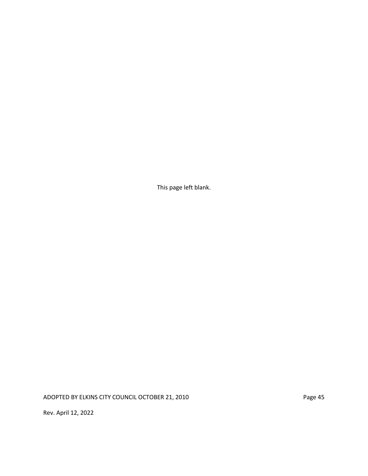This page left blank.

ADOPTED BY ELKINS CITY COUNCIL OCTOBER 21, 2010 **Page 45** Page 45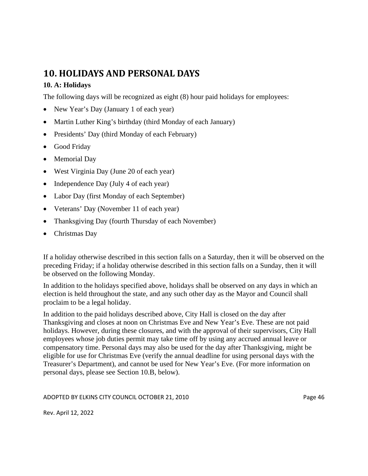# **10. HOLIDAYS AND PERSONAL DAYS**

#### **10. A: Holidays**

The following days will be recognized as eight (8) hour paid holidays for employees:

- New Year's Day (January 1 of each year)
- Martin Luther King's birthday (third Monday of each January)
- Presidents' Day (third Monday of each February)
- Good Friday
- Memorial Day
- West Virginia Day (June 20 of each year)
- Independence Day (July 4 of each year)
- Labor Day (first Monday of each September)
- Veterans' Day (November 11 of each year)
- Thanksgiving Day (fourth Thursday of each November)
- Christmas Day

If a holiday otherwise described in this section falls on a Saturday, then it will be observed on the preceding Friday; if a holiday otherwise described in this section falls on a Sunday, then it will be observed on the following Monday.

In addition to the holidays specified above, holidays shall be observed on any days in which an election is held throughout the state, and any such other day as the Mayor and Council shall proclaim to be a legal holiday.

In addition to the paid holidays described above, City Hall is closed on the day after Thanksgiving and closes at noon on Christmas Eve and New Year's Eve. These are not paid holidays. However, during these closures, and with the approval of their supervisors, City Hall employees whose job duties permit may take time off by using any accrued annual leave or compensatory time. Personal days may also be used for the day after Thanksgiving, might be eligible for use for Christmas Eve (verify the annual deadline for using personal days with the Treasurer's Department), and cannot be used for New Year's Eve. (For more information on personal days, please see Section 10.B, below).

ADOPTED BY ELKINS CITY COUNCIL OCTOBER 21, 2010 Page 46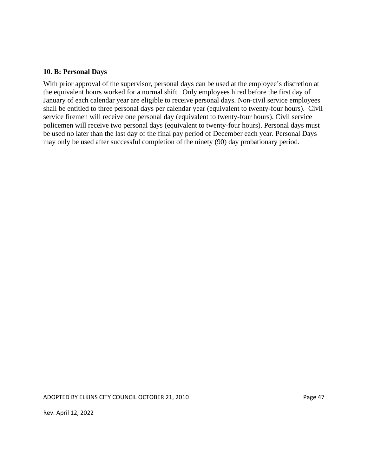#### **10. B: Personal Days**

With prior approval of the supervisor, personal days can be used at the employee's discretion at the equivalent hours worked for a normal shift. Only employees hired before the first day of January of each calendar year are eligible to receive personal days. Non-civil service employees shall be entitled to three personal days per calendar year (equivalent to twenty-four hours). Civil service firemen will receive one personal day (equivalent to twenty-four hours). Civil service policemen will receive two personal days (equivalent to twenty-four hours). Personal days must be used no later than the last day of the final pay period of December each year. Personal Days may only be used after successful completion of the ninety (90) day probationary period.

ADOPTED BY ELKINS CITY COUNCIL OCTOBER 21, 2010 **Page 47** Page 47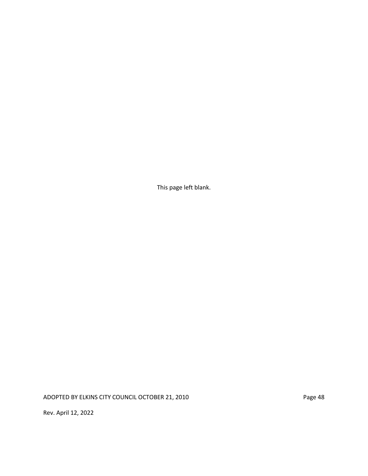This page left blank.

ADOPTED BY ELKINS CITY COUNCIL OCTOBER 21, 2010 **Page 48** Page 48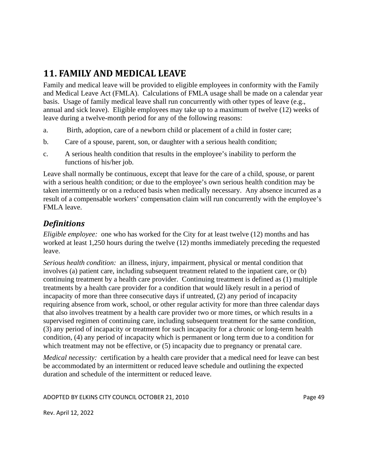# **11. FAMILY AND MEDICAL LEAVE**

Family and medical leave will be provided to eligible employees in conformity with the Family and Medical Leave Act (FMLA). Calculations of FMLA usage shall be made on a calendar year basis. Usage of family medical leave shall run concurrently with other types of leave (e.g., annual and sick leave). Eligible employees may take up to a maximum of twelve (12) weeks of leave during a twelve-month period for any of the following reasons:

- a. Birth, adoption, care of a newborn child or placement of a child in foster care;
- b. Care of a spouse, parent, son, or daughter with a serious health condition;
- c. A serious health condition that results in the employee's inability to perform the functions of his/her job.

Leave shall normally be continuous, except that leave for the care of a child, spouse, or parent with a serious health condition; or due to the employee's own serious health condition may be taken intermittently or on a reduced basis when medically necessary. Any absence incurred as a result of a compensable workers' compensation claim will run concurrently with the employee's FMLA leave.

### *Definitions*

*Eligible employee:* one who has worked for the City for at least twelve (12) months and has worked at least 1,250 hours during the twelve (12) months immediately preceding the requested leave.

*Serious health condition:* an illness, injury, impairment, physical or mental condition that involves (a) patient care, including subsequent treatment related to the inpatient care, or (b) continuing treatment by a health care provider. Continuing treatment is defined as (1) multiple treatments by a health care provider for a condition that would likely result in a period of incapacity of more than three consecutive days if untreated, (2) any period of incapacity requiring absence from work, school, or other regular activity for more than three calendar days that also involves treatment by a health care provider two or more times, or which results in a supervised regimen of continuing care, including subsequent treatment for the same condition, (3) any period of incapacity or treatment for such incapacity for a chronic or long-term health condition, (4) any period of incapacity which is permanent or long term due to a condition for which treatment may not be effective, or  $(5)$  incapacity due to pregnancy or prenatal care.

*Medical necessity:* certification by a health care provider that a medical need for leave can best be accommodated by an intermittent or reduced leave schedule and outlining the expected duration and schedule of the intermittent or reduced leave.

ADOPTED BY ELKINS CITY COUNCIL OCTOBER 21, 2010 Page 49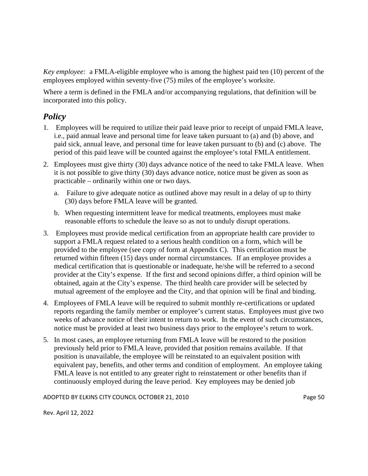*Key employee:* a FMLA-eligible employee who is among the highest paid ten (10) percent of the employees employed within seventy-five (75) miles of the employee's worksite.

Where a term is defined in the FMLA and/or accompanying regulations, that definition will be incorporated into this policy.

### *Policy*

- 1. Employees will be required to utilize their paid leave prior to receipt of unpaid FMLA leave, i.e., paid annual leave and personal time for leave taken pursuant to (a) and (b) above, and paid sick, annual leave, and personal time for leave taken pursuant to (b) and (c) above. The period of this paid leave will be counted against the employee's total FMLA entitlement.
- 2. Employees must give thirty (30) days advance notice of the need to take FMLA leave. When it is not possible to give thirty (30) days advance notice, notice must be given as soon as practicable – ordinarily within one or two days.
	- a. Failure to give adequate notice as outlined above may result in a delay of up to thirty (30) days before FMLA leave will be granted.
	- b. When requesting intermittent leave for medical treatments, employees must make reasonable efforts to schedule the leave so as not to unduly disrupt operations.
- 3. Employees must provide medical certification from an appropriate health care provider to support a FMLA request related to a serious health condition on a form, which will be provided to the employee (see copy of form at Appendix C). This certification must be returned within fifteen (15) days under normal circumstances. If an employee provides a medical certification that is questionable or inadequate, he/she will be referred to a second provider at the City's expense. If the first and second opinions differ, a third opinion will be obtained, again at the City's expense. The third health care provider will be selected by mutual agreement of the employee and the City, and that opinion will be final and binding.
- 4. Employees of FMLA leave will be required to submit monthly re-certifications or updated reports regarding the family member or employee's current status. Employees must give two weeks of advance notice of their intent to return to work. In the event of such circumstances, notice must be provided at least two business days prior to the employee's return to work.
- 5. In most cases, an employee returning from FMLA leave will be restored to the position previously held prior to FMLA leave, provided that position remains available. If that position is unavailable, the employee will be reinstated to an equivalent position with equivalent pay, benefits, and other terms and condition of employment. An employee taking FMLA leave is not entitled to any greater right to reinstatement or other benefits than if continuously employed during the leave period. Key employees may be denied job

ADOPTED BY ELKINS CITY COUNCIL OCTOBER 21, 2010 Page 50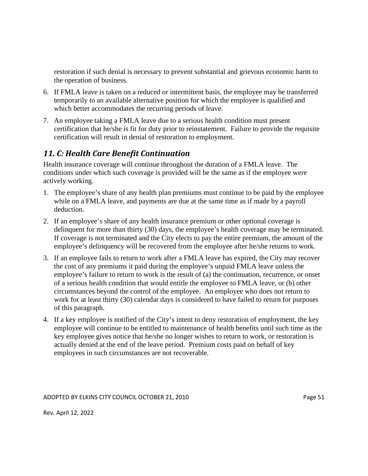restoration if such denial is necessary to prevent substantial and grievous economic harm to the operation of business.

- 6. If FMLA leave is taken on a reduced or intermittent basis, the employee may be transferred temporarily to an available alternative position for which the employee is qualified and which better accommodates the recurring periods of leave.
- 7. An employee taking a FMLA leave due to a serious health condition must present certification that he/she is fit for duty prior to reinstatement. Failure to provide the requisite certification will result in denial of restoration to employment.

### *11. C: Health Care Benefit Continuation*

Health insurance coverage will continue throughout the duration of a FMLA leave. The conditions under which such coverage is provided will be the same as if the employee were actively working.

- 1. The employee's share of any health plan premiums must continue to be paid by the employee while on a FMLA leave, and payments are due at the same time as if made by a payroll deduction.
- 2. If an employee's share of any health insurance premium or other optional coverage is delinquent for more than thirty (30) days, the employee's health coverage may be terminated. If coverage is not terminated and the City elects to pay the entire premium, the amount of the employee's delinquency will be recovered from the employee after he/she returns to work.
- 3. If an employee fails to return to work after a FMLA leave has expired, the City may recover the cost of any premiums it paid during the employee's unpaid FMLA leave unless the employee's failure to return to work is the result of (a) the continuation, recurrence, or onset of a serious health condition that would entitle the employee to FMLA leave, or (b) other circumstances beyond the control of the employee. An employee who does not return to work for at least thirty (30) calendar days is considered to have failed to return for purposes of this paragraph.
- 4. If a key employee is notified of the City's intent to deny restoration of employment, the key employee will continue to be entitled to maintenance of health benefits until such time as the key employee gives notice that he/she no longer wishes to return to work, or restoration is actually denied at the end of the leave period. Premium costs paid on behalf of key employees in such circumstances are not recoverable.

#### ADOPTED BY ELKINS CITY COUNCIL OCTOBER 21, 2010 Page 51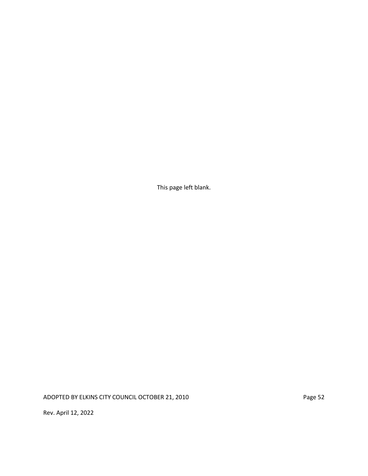This page left blank.

ADOPTED BY ELKINS CITY COUNCIL OCTOBER 21, 2010 **Page 52** Page 52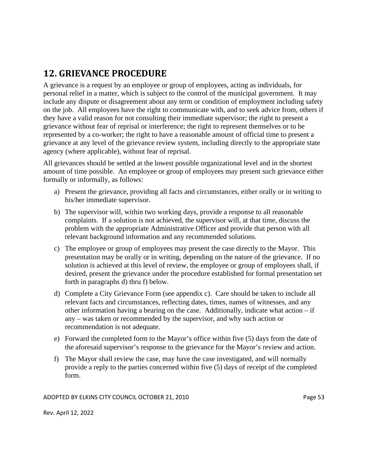# **12. GRIEVANCE PROCEDURE**

A grievance is a request by an employee or group of employees, acting as individuals, for personal relief in a matter, which is subject to the control of the municipal government. It may include any dispute or disagreement about any term or condition of employment including safety on the job. All employees have the right to communicate with, and to seek advice from, others if they have a valid reason for not consulting their immediate supervisor; the right to present a grievance without fear of reprisal or interference; the right to represent themselves or to be represented by a co-worker; the right to have a reasonable amount of official time to present a grievance at any level of the grievance review system, including directly to the appropriate state agency (where applicable), without fear of reprisal.

All grievances should be settled at the lowest possible organizational level and in the shortest amount of time possible. An employee or group of employees may present such grievance either formally or informally, as follows:

- a) Present the grievance, providing all facts and circumstances, either orally or in writing to his/her immediate supervisor.
- b) The supervisor will, within two working days, provide a response to all reasonable complaints. If a solution is not achieved, the supervisor will, at that time, discuss the problem with the appropriate Administrative Officer and provide that person with all relevant background information and any recommended solutions.
- c) The employee or group of employees may present the case directly to the Mayor. This presentation may be orally or in writing, depending on the nature of the grievance. If no solution is achieved at this level of review, the employee or group of employees shall, if desired, present the grievance under the procedure established for formal presentation set forth in paragraphs d) thru f) below.
- d) Complete a City Grievance Form (see appendix c). Care should be taken to include all relevant facts and circumstances, reflecting dates, times, names of witnesses, and any other information having a bearing on the case. Additionally, indicate what action – if any – was taken or recommended by the supervisor, and why such action or recommendation is not adequate.
- e) Forward the completed form to the Mayor's office within five (5) days from the date of the aforesaid supervisor's response to the grievance for the Mayor's review and action.
- f) The Mayor shall review the case, may have the case investigated, and will normally provide a reply to the parties concerned within five (5) days of receipt of the completed form.

ADOPTED BY ELKINS CITY COUNCIL OCTOBER 21, 2010 Page 53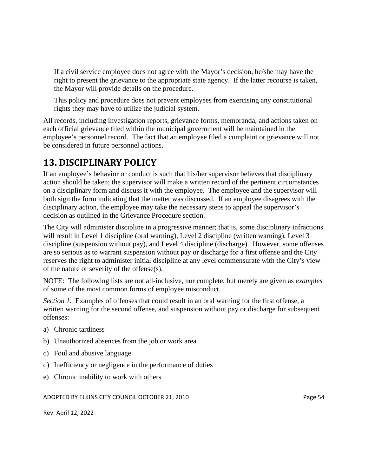If a civil service employee does not agree with the Mayor's decision, he/she may have the right to present the grievance to the appropriate state agency. If the latter recourse is taken, the Mayor will provide details on the procedure.

This policy and procedure does not prevent employees from exercising any constitutional rights they may have to utilize the judicial system.

All records, including investigation reports, grievance forms, memoranda, and actions taken on each official grievance filed within the municipal government will be maintained in the employee's personnel record. The fact that an employee filed a complaint or grievance will not be considered in future personnel actions.

# **13. DISCIPLINARY POLICY**

If an employee's behavior or conduct is such that his/her supervisor believes that disciplinary action should be taken; the supervisor will make a written record of the pertinent circumstances on a disciplinary form and discuss it with the employee. The employee and the supervisor will both sign the form indicating that the matter was discussed. If an employee disagrees with the disciplinary action, the employee may take the necessary steps to appeal the supervisor's decision as outlined in the Grievance Procedure section.

The City will administer discipline in a progressive manner; that is, some disciplinary infractions will result in Level 1 discipline (oral warning), Level 2 discipline (written warning), Level 3 discipline (suspension without pay), and Level 4 discipline (discharge). However, some offenses are so serious as to warrant suspension without pay or discharge for a first offense and the City reserves the right to administer initial discipline at any level commensurate with the City's view of the nature or severity of the offense(s).

NOTE: The following lists are not all-inclusive, nor complete, but merely are given as *examples* of some of the most common forms of employee misconduct.

*Section 1.* Examples of offenses that could result in an oral warning for the first offense, a written warning for the second offense, and suspension without pay or discharge for subsequent offenses:

- a) Chronic tardiness
- b) Unauthorized absences from the job or work area
- c) Foul and abusive language
- d) Inefficiency or negligence in the performance of duties
- e) Chronic inability to work with others

ADOPTED BY ELKINS CITY COUNCIL OCTOBER 21, 2010 Page 54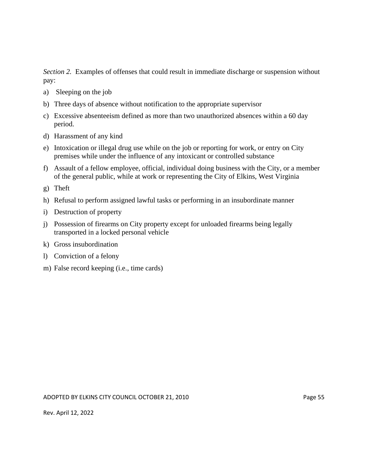*Section 2.* Examples of offenses that could result in immediate discharge or suspension without pay:

- a) Sleeping on the job
- b) Three days of absence without notification to the appropriate supervisor
- c) Excessive absenteeism defined as more than two unauthorized absences within a 60 day period.
- d) Harassment of any kind
- e) Intoxication or illegal drug use while on the job or reporting for work, or entry on City premises while under the influence of any intoxicant or controlled substance
- f) Assault of a fellow employee, official, individual doing business with the City, or a member of the general public, while at work or representing the City of Elkins, West Virginia
- g) Theft
- h) Refusal to perform assigned lawful tasks or performing in an insubordinate manner
- i) Destruction of property
- j) Possession of firearms on City property except for unloaded firearms being legally transported in a locked personal vehicle
- k) Gross insubordination
- l) Conviction of a felony
- m) False record keeping (i.e., time cards)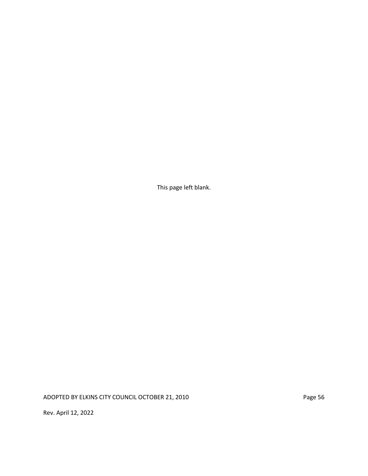This page left blank.

ADOPTED BY ELKINS CITY COUNCIL OCTOBER 21, 2010 **Page 56** Page 56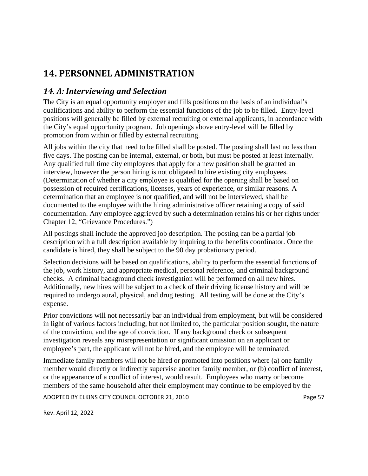# **14. PERSONNEL ADMINISTRATION**

### *14. A: Interviewing and Selection*

The City is an equal opportunity employer and fills positions on the basis of an individual's qualifications and ability to perform the essential functions of the job to be filled. Entry-level positions will generally be filled by external recruiting or external applicants, in accordance with the City's equal opportunity program. Job openings above entry-level will be filled by promotion from within or filled by external recruiting.

All jobs within the city that need to be filled shall be posted. The posting shall last no less than five days. The posting can be internal, external, or both, but must be posted at least internally. Any qualified full time city employees that apply for a new position shall be granted an interview, however the person hiring is not obligated to hire existing city employees. (Determination of whether a city employee is qualified for the opening shall be based on possession of required certifications, licenses, years of experience, or similar reasons. A determination that an employee is not qualified, and will not be interviewed, shall be documented to the employee with the hiring administrative officer retaining a copy of said documentation. Any employee aggrieved by such a determination retains his or her rights under Chapter 12, "Grievance Procedures.")

All postings shall include the approved job description. The posting can be a partial job description with a full description available by inquiring to the benefits coordinator. Once the candidate is hired, they shall be subject to the 90 day probationary period.

Selection decisions will be based on qualifications, ability to perform the essential functions of the job, work history, and appropriate medical, personal reference, and criminal background checks. A criminal background check investigation will be performed on all new hires. Additionally, new hires will be subject to a check of their driving license history and will be required to undergo aural, physical, and drug testing. All testing will be done at the City's expense.

Prior convictions will not necessarily bar an individual from employment, but will be considered in light of various factors including, but not limited to, the particular position sought, the nature of the conviction, and the age of conviction. If any background check or subsequent investigation reveals any misrepresentation or significant omission on an applicant or employee's part, the applicant will not be hired, and the employee will be terminated.

Immediate family members will not be hired or promoted into positions where (a) one family member would directly or indirectly supervise another family member, or (b) conflict of interest, or the appearance of a conflict of interest, would result. Employees who marry or become members of the same household after their employment may continue to be employed by the

ADOPTED BY ELKINS CITY COUNCIL OCTOBER 21, 2010 Page 57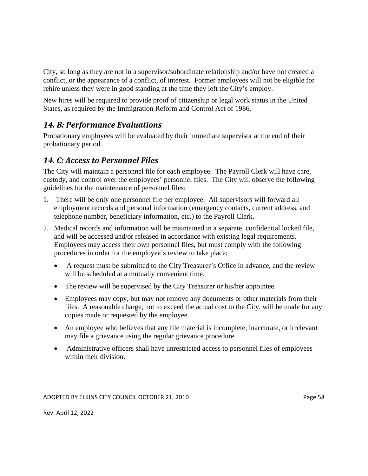City, so long as they are not in a supervisor/subordinate relationship and/or have not created a conflict, or the appearance of a conflict, of interest. Former employees will not be eligible for rehire unless they were in good standing at the time they left the City's employ.

New hires will be required to provide proof of citizenship or legal work status in the United States, as required by the Immigration Reform and Control Act of 1986.

## *14. B: Performance Evaluations*

Probationary employees will be evaluated by their immediate supervisor at the end of their probationary period.

### *14. C: Access to Personnel Files*

The City will maintain a personnel file for each employee. The Payroll Clerk will have care, custody, and control over the employees' personnel files. The City will observe the following guidelines for the maintenance of personnel files:

- 1. There will be only one personnel file per employee. All supervisors will forward all employment records and personal information (emergency contacts, current address, and telephone number, beneficiary information, etc.) to the Payroll Clerk.
- 2. Medical records and information will be maintained in a separate, confidential locked file, and will be accessed and/or released in accordance with existing legal requirements. Employees may access their own personnel files, but must comply with the following procedures in order for the employee's review to take place:
	- A request must be submitted to the City Treasurer's Office in advance, and the review will be scheduled at a mutually convenient time.
	- The review will be supervised by the City Treasurer or his/her appointee.
	- Employees may copy, but may not remove any documents or other materials from their files. A reasonable charge, not to exceed the actual cost to the City, will be made for any copies made or requested by the employee.
	- An employee who believes that any file material is incomplete, inaccurate, or irrelevant may file a grievance using the regular grievance procedure.
	- Administrative officers shall have unrestricted access to personnel files of employees within their division.

ADOPTED BY ELKINS CITY COUNCIL OCTOBER 21, 2010 Page 58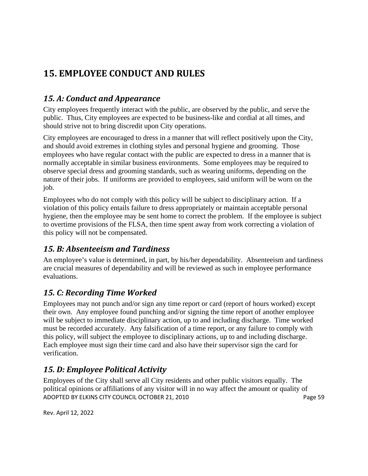# **15. EMPLOYEE CONDUCT AND RULES**

# *15. A: Conduct and Appearance*

City employees frequently interact with the public, are observed by the public, and serve the public. Thus, City employees are expected to be business-like and cordial at all times, and should strive not to bring discredit upon City operations.

City employees are encouraged to dress in a manner that will reflect positively upon the City, and should avoid extremes in clothing styles and personal hygiene and grooming. Those employees who have regular contact with the public are expected to dress in a manner that is normally acceptable in similar business environments. Some employees may be required to observe special dress and grooming standards, such as wearing uniforms, depending on the nature of their jobs. If uniforms are provided to employees, said uniform will be worn on the job.

Employees who do not comply with this policy will be subject to disciplinary action. If a violation of this policy entails failure to dress appropriately or maintain acceptable personal hygiene, then the employee may be sent home to correct the problem. If the employee is subject to overtime provisions of the FLSA, then time spent away from work correcting a violation of this policy will not be compensated.

# *15. B: Absenteeism and Tardiness*

An employee's value is determined, in part, by his/her dependability. Absenteeism and tardiness are crucial measures of dependability and will be reviewed as such in employee performance evaluations.

# *15. C: Recording Time Worked*

Employees may not punch and/or sign any time report or card (report of hours worked) except their own. Any employee found punching and/or signing the time report of another employee will be subject to immediate disciplinary action, up to and including discharge. Time worked must be recorded accurately. Any falsification of a time report, or any failure to comply with this policy, will subject the employee to disciplinary actions, up to and including discharge. Each employee must sign their time card and also have their supervisor sign the card for verification.

# *15. D: Employee Political Activity*

ADOPTED BY ELKINS CITY COUNCIL OCTOBER 21, 2010 Page 59 Employees of the City shall serve all City residents and other public visitors equally. The political opinions or affiliations of any visitor will in no way affect the amount or quality of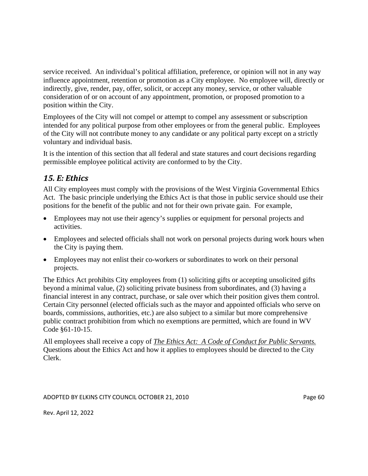service received. An individual's political affiliation, preference, or opinion will not in any way influence appointment, retention or promotion as a City employee. No employee will, directly or indirectly, give, render, pay, offer, solicit, or accept any money, service, or other valuable consideration of or on account of any appointment, promotion, or proposed promotion to a position within the City.

Employees of the City will not compel or attempt to compel any assessment or subscription intended for any political purpose from other employees or from the general public. Employees of the City will not contribute money to any candidate or any political party except on a strictly voluntary and individual basis.

It is the intention of this section that all federal and state statures and court decisions regarding permissible employee political activity are conformed to by the City.

## *15. E: Ethics*

All City employees must comply with the provisions of the West Virginia Governmental Ethics Act. The basic principle underlying the Ethics Act is that those in public service should use their positions for the benefit of the public and not for their own private gain. For example,

- Employees may not use their agency's supplies or equipment for personal projects and activities.
- Employees and selected officials shall not work on personal projects during work hours when the City is paying them.
- Employees may not enlist their co-workers or subordinates to work on their personal projects.

The Ethics Act prohibits City employees from (1) soliciting gifts or accepting unsolicited gifts beyond a minimal value, (2) soliciting private business from subordinates, and (3) having a financial interest in any contract, purchase, or sale over which their position gives them control. Certain City personnel (elected officials such as the mayor and appointed officials who serve on boards, commissions, authorities, etc.) are also subject to a similar but more comprehensive public contract prohibition from which no exemptions are permitted, which are found in WV Code §61-10-15.

All employees shall receive a copy of *The Ethics Act: A Code of Conduct for Public Servants.* Questions about the Ethics Act and how it applies to employees should be directed to the City Clerk.

#### ADOPTED BY ELKINS CITY COUNCIL OCTOBER 21, 2010 Page 60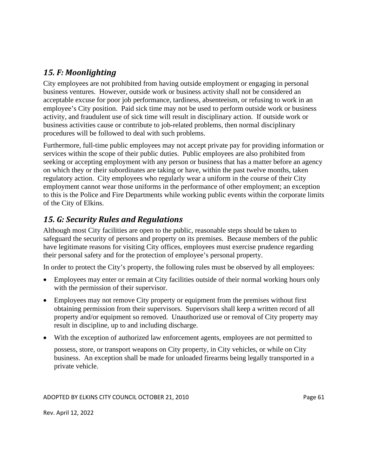### *15. F: Moonlighting*

City employees are not prohibited from having outside employment or engaging in personal business ventures. However, outside work or business activity shall not be considered an acceptable excuse for poor job performance, tardiness, absenteeism, or refusing to work in an employee's City position. Paid sick time may not be used to perform outside work or business activity, and fraudulent use of sick time will result in disciplinary action. If outside work or business activities cause or contribute to job-related problems, then normal disciplinary procedures will be followed to deal with such problems.

Furthermore, full-time public employees may not accept private pay for providing information or services within the scope of their public duties. Public employees are also prohibited from seeking or accepting employment with any person or business that has a matter before an agency on which they or their subordinates are taking or have, within the past twelve months, taken regulatory action. City employees who regularly wear a uniform in the course of their City employment cannot wear those uniforms in the performance of other employment; an exception to this is the Police and Fire Departments while working public events within the corporate limits of the City of Elkins.

## *15. G: Security Rules and Regulations*

Although most City facilities are open to the public, reasonable steps should be taken to safeguard the security of persons and property on its premises. Because members of the public have legitimate reasons for visiting City offices, employees must exercise prudence regarding their personal safety and for the protection of employee's personal property.

In order to protect the City's property, the following rules must be observed by all employees:

- Employees may enter or remain at City facilities outside of their normal working hours only with the permission of their supervisor.
- Employees may not remove City property or equipment from the premises without first obtaining permission from their supervisors. Supervisors shall keep a written record of all property and/or equipment so removed. Unauthorized use or removal of City property may result in discipline, up to and including discharge.
- With the exception of authorized law enforcement agents, employees are not permitted to

possess, store, or transport weapons on City property, in City vehicles, or while on City business. An exception shall be made for unloaded firearms being legally transported in a private vehicle.

ADOPTED BY ELKINS CITY COUNCIL OCTOBER 21, 2010 Page 61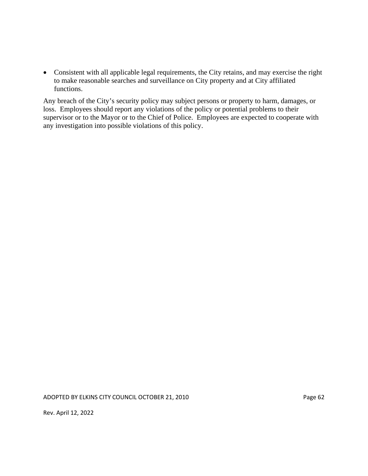• Consistent with all applicable legal requirements, the City retains, and may exercise the right to make reasonable searches and surveillance on City property and at City affiliated functions.

Any breach of the City's security policy may subject persons or property to harm, damages, or loss. Employees should report any violations of the policy or potential problems to their supervisor or to the Mayor or to the Chief of Police. Employees are expected to cooperate with any investigation into possible violations of this policy.

ADOPTED BY ELKINS CITY COUNCIL OCTOBER 21, 2010 **Page 62** Page 62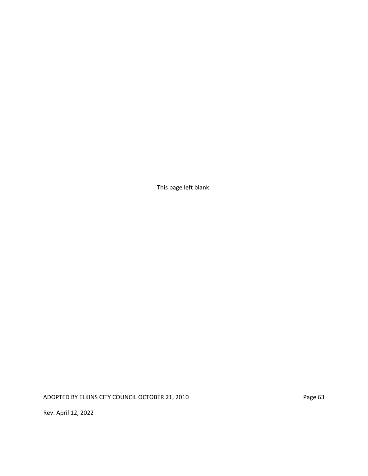This page left blank.

ADOPTED BY ELKINS CITY COUNCIL OCTOBER 21, 2010 **Page 63** Page 63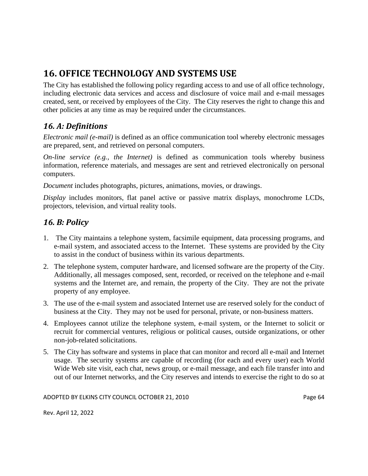# **16. OFFICE TECHNOLOGY AND SYSTEMS USE**

The City has established the following policy regarding access to and use of all office technology, including electronic data services and access and disclosure of voice mail and e-mail messages created, sent, or received by employees of the City. The City reserves the right to change this and other policies at any time as may be required under the circumstances.

# *16. A: Definitions*

*Electronic mail (e-mail)* is defined as an office communication tool whereby electronic messages are prepared, sent, and retrieved on personal computers.

*On-line service (e.g., the Internet)* is defined as communication tools whereby business information, reference materials, and messages are sent and retrieved electronically on personal computers.

*Document* includes photographs, pictures, animations, movies, or drawings.

*Display* includes monitors, flat panel active or passive matrix displays, monochrome LCDs, projectors, television, and virtual reality tools.

## *16. B: Policy*

- 1. The City maintains a telephone system, facsimile equipment, data processing programs, and e-mail system, and associated access to the Internet. These systems are provided by the City to assist in the conduct of business within its various departments.
- 2. The telephone system, computer hardware, and licensed software are the property of the City. Additionally, all messages composed, sent, recorded, or received on the telephone and e-mail systems and the Internet are, and remain, the property of the City. They are not the private property of any employee.
- 3. The use of the e-mail system and associated Internet use are reserved solely for the conduct of business at the City. They may not be used for personal, private, or non-business matters.
- 4. Employees cannot utilize the telephone system, e-mail system, or the Internet to solicit or recruit for commercial ventures, religious or political causes, outside organizations, or other non-job-related solicitations.
- 5. The City has software and systems in place that can monitor and record all e-mail and Internet usage. The security systems are capable of recording (for each and every user) each World Wide Web site visit, each chat, news group, or e-mail message, and each file transfer into and out of our Internet networks, and the City reserves and intends to exercise the right to do so at

ADOPTED BY ELKINS CITY COUNCIL OCTOBER 21, 2010 Page 64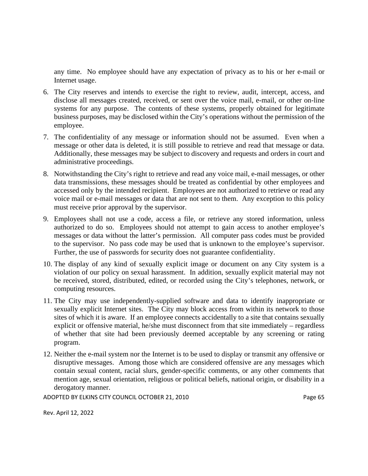any time. No employee should have any expectation of privacy as to his or her e-mail or Internet usage.

- 6. The City reserves and intends to exercise the right to review, audit, intercept, access, and disclose all messages created, received, or sent over the voice mail, e-mail, or other on-line systems for any purpose. The contents of these systems, properly obtained for legitimate business purposes, may be disclosed within the City's operations without the permission of the employee.
- 7. The confidentiality of any message or information should not be assumed. Even when a message or other data is deleted, it is still possible to retrieve and read that message or data. Additionally, these messages may be subject to discovery and requests and orders in court and administrative proceedings.
- 8. Notwithstanding the City's right to retrieve and read any voice mail, e-mail messages, or other data transmissions, these messages should be treated as confidential by other employees and accessed only by the intended recipient. Employees are not authorized to retrieve or read any voice mail or e-mail messages or data that are not sent to them. Any exception to this policy must receive prior approval by the supervisor.
- 9. Employees shall not use a code, access a file, or retrieve any stored information, unless authorized to do so. Employees should not attempt to gain access to another employee's messages or data without the latter's permission. All computer pass codes must be provided to the supervisor. No pass code may be used that is unknown to the employee's supervisor. Further, the use of passwords for security does not guarantee confidentiality.
- 10. The display of any kind of sexually explicit image or document on any City system is a violation of our policy on sexual harassment. In addition, sexually explicit material may not be received, stored, distributed, edited, or recorded using the City's telephones, network, or computing resources.
- 11. The City may use independently-supplied software and data to identify inappropriate or sexually explicit Internet sites. The City may block access from within its network to those sites of which it is aware. If an employee connects accidentally to a site that contains sexually explicit or offensive material, he/she must disconnect from that site immediately – regardless of whether that site had been previously deemed acceptable by any screening or rating program.
- 12. Neither the e-mail system nor the Internet is to be used to display or transmit any offensive or disruptive messages. Among those which are considered offensive are any messages which contain sexual content, racial slurs, gender-specific comments, or any other comments that mention age, sexual orientation, religious or political beliefs, national origin, or disability in a derogatory manner.

ADOPTED BY ELKINS CITY COUNCIL OCTOBER 21, 2010 **Page 65**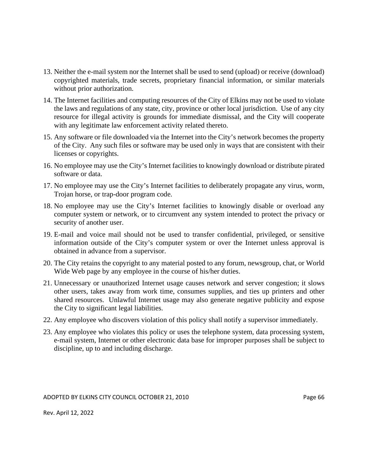- 13. Neither the e-mail system nor the Internet shall be used to send (upload) or receive (download) copyrighted materials, trade secrets, proprietary financial information, or similar materials without prior authorization.
- 14. The Internet facilities and computing resources of the City of Elkins may not be used to violate the laws and regulations of any state, city, province or other local jurisdiction. Use of any city resource for illegal activity is grounds for immediate dismissal, and the City will cooperate with any legitimate law enforcement activity related thereto.
- 15. Any software or file downloaded via the Internet into the City's network becomes the property of the City. Any such files or software may be used only in ways that are consistent with their licenses or copyrights.
- 16. No employee may use the City's Internet facilities to knowingly download or distribute pirated software or data.
- 17. No employee may use the City's Internet facilities to deliberately propagate any virus, worm, Trojan horse, or trap-door program code.
- 18. No employee may use the City's Internet facilities to knowingly disable or overload any computer system or network, or to circumvent any system intended to protect the privacy or security of another user.
- 19. E-mail and voice mail should not be used to transfer confidential, privileged, or sensitive information outside of the City's computer system or over the Internet unless approval is obtained in advance from a supervisor.
- 20. The City retains the copyright to any material posted to any forum, newsgroup, chat, or World Wide Web page by any employee in the course of his/her duties.
- 21. Unnecessary or unauthorized Internet usage causes network and server congestion; it slows other users, takes away from work time, consumes supplies, and ties up printers and other shared resources. Unlawful Internet usage may also generate negative publicity and expose the City to significant legal liabilities.
- 22. Any employee who discovers violation of this policy shall notify a supervisor immediately.
- 23. Any employee who violates this policy or uses the telephone system, data processing system, e-mail system, Internet or other electronic data base for improper purposes shall be subject to discipline, up to and including discharge.

#### ADOPTED BY ELKINS CITY COUNCIL OCTOBER 21, 2010 Page 66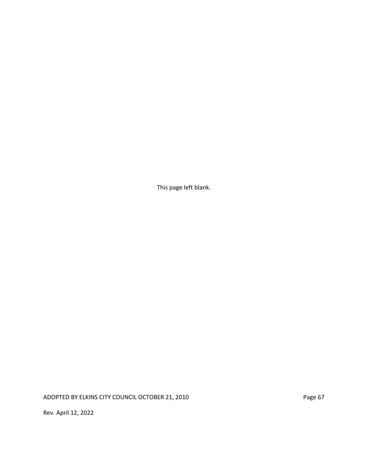This page left blank.

ADOPTED BY ELKINS CITY COUNCIL OCTOBER 21, 2010 **Page 67** Page 67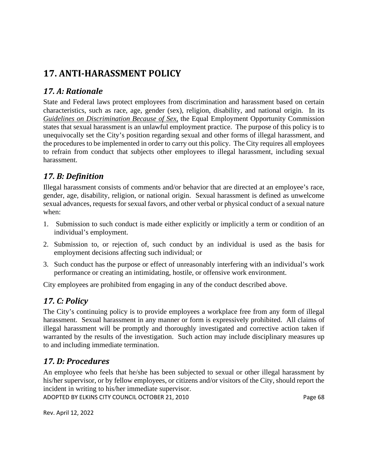# **17. ANTI-HARASSMENT POLICY**

## *17. A: Rationale*

State and Federal laws protect employees from discrimination and harassment based on certain characteristics, such as race, age, gender (sex), religion, disability, and national origin. In its *Guidelines on Discrimination Because of Sex,* the Equal Employment Opportunity Commission states that sexual harassment is an unlawful employment practice. The purpose of this policy is to unequivocally set the City's position regarding sexual and other forms of illegal harassment, and the procedures to be implemented in order to carry out this policy. The City requires all employees to refrain from conduct that subjects other employees to illegal harassment, including sexual harassment.

# *17. B: Definition*

Illegal harassment consists of comments and/or behavior that are directed at an employee's race, gender, age, disability, religion, or national origin. Sexual harassment is defined as unwelcome sexual advances, requests for sexual favors, and other verbal or physical conduct of a sexual nature when:

- 1. Submission to such conduct is made either explicitly or implicitly a term or condition of an individual's employment.
- 2. Submission to, or rejection of, such conduct by an individual is used as the basis for employment decisions affecting such individual; or
- 3. Such conduct has the purpose or effect of unreasonably interfering with an individual's work performance or creating an intimidating, hostile, or offensive work environment.

City employees are prohibited from engaging in any of the conduct described above.

# *17. C: Policy*

The City's continuing policy is to provide employees a workplace free from any form of illegal harassment. Sexual harassment in any manner or form is expressively prohibited. All claims of illegal harassment will be promptly and thoroughly investigated and corrective action taken if warranted by the results of the investigation. Such action may include disciplinary measures up to and including immediate termination.

## *17. D: Procedures*

ADOPTED BY ELKINS CITY COUNCIL OCTOBER 21, 2010 Page 68 An employee who feels that he/she has been subjected to sexual or other illegal harassment by his/her supervisor, or by fellow employees, or citizens and/or visitors of the City, should report the incident in writing to his/her immediate supervisor.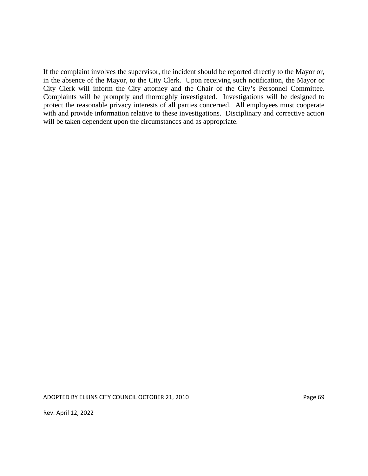If the complaint involves the supervisor, the incident should be reported directly to the Mayor or, in the absence of the Mayor, to the City Clerk. Upon receiving such notification, the Mayor or City Clerk will inform the City attorney and the Chair of the City's Personnel Committee. Complaints will be promptly and thoroughly investigated. Investigations will be designed to protect the reasonable privacy interests of all parties concerned. All employees must cooperate with and provide information relative to these investigations. Disciplinary and corrective action will be taken dependent upon the circumstances and as appropriate.

ADOPTED BY ELKINS CITY COUNCIL OCTOBER 21, 2010 **Page 69** Page 69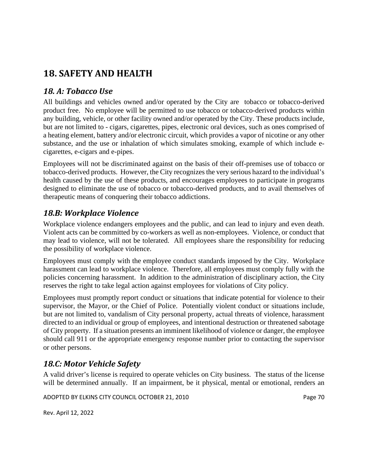# **18. SAFETY AND HEALTH**

### *18. A: Tobacco Use*

All buildings and vehicles owned and/or operated by the City are tobacco or tobacco-derived product free. No employee will be permitted to use tobacco or tobacco-derived products within any building, vehicle, or other facility owned and/or operated by the City. These products include, but are not limited to - cigars, cigarettes, pipes, electronic oral devices, such as ones comprised of a heating element, battery and/or electronic circuit, which provides a vapor of nicotine or any other substance, and the use or inhalation of which simulates smoking, example of which include ecigarettes, e-cigars and e-pipes.

Employees will not be discriminated against on the basis of their off-premises use of tobacco or tobacco-derived products. However, the City recognizes the very serious hazard to the individual's health caused by the use of these products, and encourages employees to participate in programs designed to eliminate the use of tobacco or tobacco-derived products, and to avail themselves of therapeutic means of conquering their tobacco addictions.

## *18.B: Workplace Violence*

Workplace violence endangers employees and the public, and can lead to injury and even death. Violent acts can be committed by co-workers as well as non-employees. Violence, or conduct that may lead to violence, will not be tolerated. All employees share the responsibility for reducing the possibility of workplace violence.

Employees must comply with the employee conduct standards imposed by the City. Workplace harassment can lead to workplace violence. Therefore, all employees must comply fully with the policies concerning harassment. In addition to the administration of disciplinary action, the City reserves the right to take legal action against employees for violations of City policy.

Employees must promptly report conduct or situations that indicate potential for violence to their supervisor, the Mayor, or the Chief of Police. Potentially violent conduct or situations include, but are not limited to, vandalism of City personal property, actual threats of violence, harassment directed to an individual or group of employees, and intentional destruction or threatened sabotage of City property. If a situation presents an imminent likelihood of violence or danger, the employee should call 911 or the appropriate emergency response number prior to contacting the supervisor or other persons.

# *18.C: Motor Vehicle Safety*

A valid driver's license is required to operate vehicles on City business. The status of the license will be determined annually. If an impairment, be it physical, mental or emotional, renders an

ADOPTED BY ELKINS CITY COUNCIL OCTOBER 21, 2010 Page 70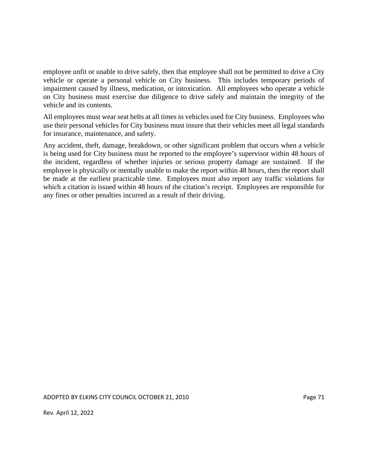employee unfit or unable to drive safely, then that employee shall not be permitted to drive a City vehicle or operate a personal vehicle on City business. This includes temporary periods of impairment caused by illness, medication, or intoxication. All employees who operate a vehicle on City business must exercise due diligence to drive safely and maintain the integrity of the vehicle and its contents.

All employees must wear seat belts at all times in vehicles used for City business. Employees who use their personal vehicles for City business must insure that their vehicles meet all legal standards for insurance, maintenance, and safety.

Any accident, theft, damage, breakdown, or other significant problem that occurs when a vehicle is being used for City business must be reported to the employee's supervisor within 48 hours of the incident, regardless of whether injuries or serious property damage are sustained. If the employee is physically or mentally unable to make the report within 48 hours, then the report shall be made at the earliest practicable time. Employees must also report any traffic violations for which a citation is issued within 48 hours of the citation's receipt. Employees are responsible for any fines or other penalties incurred as a result of their driving.

ADOPTED BY ELKINS CITY COUNCIL OCTOBER 21, 2010 Page 71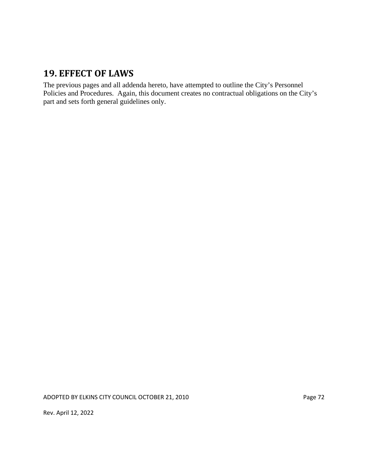# **19. EFFECT OF LAWS**

The previous pages and all addenda hereto, have attempted to outline the City's Personnel Policies and Procedures. Again, this document creates no contractual obligations on the City's part and sets forth general guidelines only.

ADOPTED BY ELKINS CITY COUNCIL OCTOBER 21, 2010 **Page 72**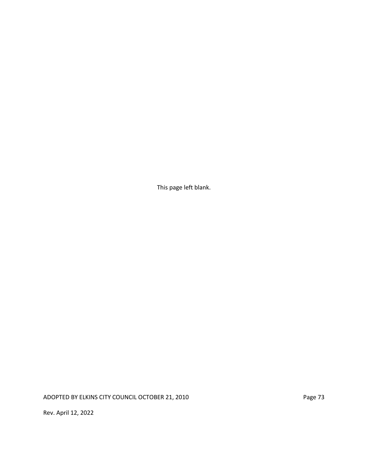This page left blank.

ADOPTED BY ELKINS CITY COUNCIL OCTOBER 21, 2010 **Page 73** Page 73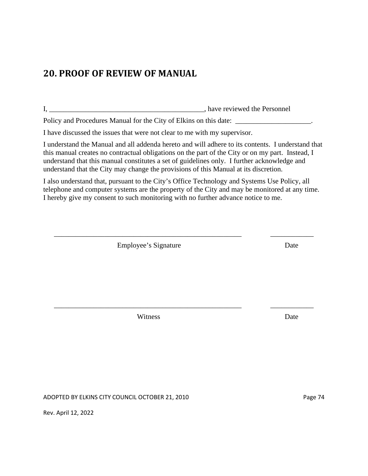# **20. PROOF OF REVIEW OF MANUAL**

I, have reviewed the Personnel

Policy and Procedures Manual for the City of Elkins on this date: \_\_\_\_\_\_\_\_\_\_\_\_\_\_\_\_\_\_\_\_\_.

I have discussed the issues that were not clear to me with my supervisor.

I understand the Manual and all addenda hereto and will adhere to its contents. I understand that this manual creates no contractual obligations on the part of the City or on my part. Instead, I understand that this manual constitutes a set of guidelines only. I further acknowledge and understand that the City may change the provisions of this Manual at its discretion.

I also understand that, pursuant to the City's Office Technology and Systems Use Policy, all telephone and computer systems are the property of the City and may be monitored at any time. I hereby give my consent to such monitoring with no further advance notice to me.

\_\_\_\_\_\_\_\_\_\_\_\_\_\_\_\_\_\_\_\_\_\_\_\_\_\_\_\_\_\_\_\_\_\_\_\_\_\_\_\_\_\_\_\_\_\_\_\_\_\_\_\_ \_\_\_\_\_\_\_\_\_\_\_\_

\_\_\_\_\_\_\_\_\_\_\_\_\_\_\_\_\_\_\_\_\_\_\_\_\_\_\_\_\_\_\_\_\_\_\_\_\_\_\_\_\_\_\_\_\_\_\_\_\_\_\_\_ \_\_\_\_\_\_\_\_\_\_\_\_

Employee's Signature Date

Witness Date

ADOPTED BY ELKINS CITY COUNCIL OCTOBER 21, 2010 Page 74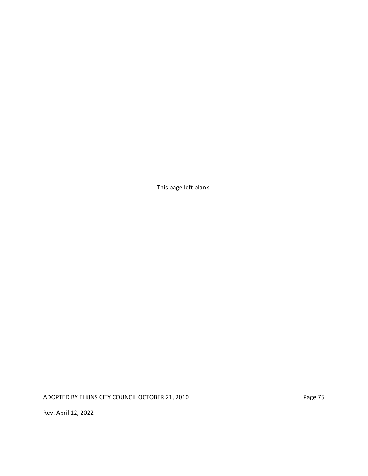This page left blank.

ADOPTED BY ELKINS CITY COUNCIL OCTOBER 21, 2010 **Page 75**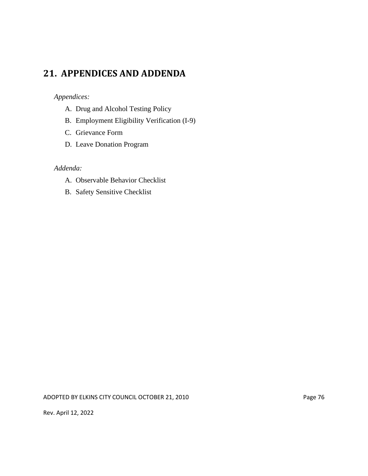# **21. APPENDICES AND ADDENDA**

*Appendices:*

- A. Drug and Alcohol Testing Policy
- B. Employment Eligibility Verification (I-9)
- C. Grievance Form
- D. Leave Donation Program

#### *Addenda:*

- A. Observable Behavior Checklist
- B. Safety Sensitive Checklist

ADOPTED BY ELKINS CITY COUNCIL OCTOBER 21, 2010 **Page 76** Page 76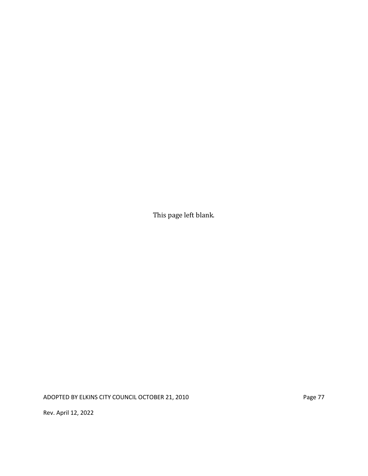This page left blank.

ADOPTED BY ELKINS CITY COUNCIL OCTOBER 21, 2010 **Page 77** Page 77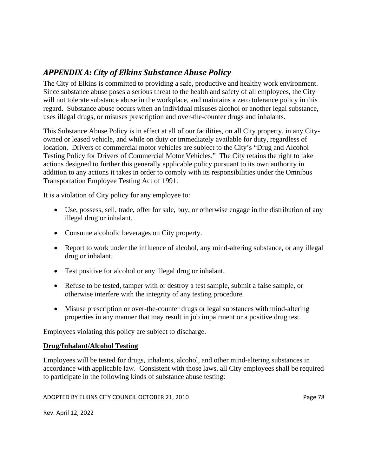## *APPENDIX A: City of Elkins Substance Abuse Policy*

The City of Elkins is committed to providing a safe, productive and healthy work environment. Since substance abuse poses a serious threat to the health and safety of all employees, the City will not tolerate substance abuse in the workplace, and maintains a zero tolerance policy in this regard. Substance abuse occurs when an individual misuses alcohol or another legal substance, uses illegal drugs, or misuses prescription and over-the-counter drugs and inhalants.

This Substance Abuse Policy is in effect at all of our facilities, on all City property, in any Cityowned or leased vehicle, and while on duty or immediately available for duty, regardless of location. Drivers of commercial motor vehicles are subject to the City's "Drug and Alcohol Testing Policy for Drivers of Commercial Motor Vehicles." The City retains the right to take actions designed to further this generally applicable policy pursuant to its own authority in addition to any actions it takes in order to comply with its responsibilities under the Omnibus Transportation Employee Testing Act of 1991.

It is a violation of City policy for any employee to:

- Use, possess, sell, trade, offer for sale, buy, or otherwise engage in the distribution of any illegal drug or inhalant.
- Consume alcoholic beverages on City property.
- Report to work under the influence of alcohol, any mind-altering substance, or any illegal drug or inhalant.
- Test positive for alcohol or any illegal drug or inhalant.
- Refuse to be tested, tamper with or destroy a test sample, submit a false sample, or otherwise interfere with the integrity of any testing procedure.
- Misuse prescription or over-the-counter drugs or legal substances with mind-altering properties in any manner that may result in job impairment or a positive drug test.

Employees violating this policy are subject to discharge.

#### **Drug/Inhalant/Alcohol Testing**

Employees will be tested for drugs, inhalants, alcohol, and other mind-altering substances in accordance with applicable law. Consistent with those laws, all City employees shall be required to participate in the following kinds of substance abuse testing:

ADOPTED BY ELKINS CITY COUNCIL OCTOBER 21, 2010 Page 78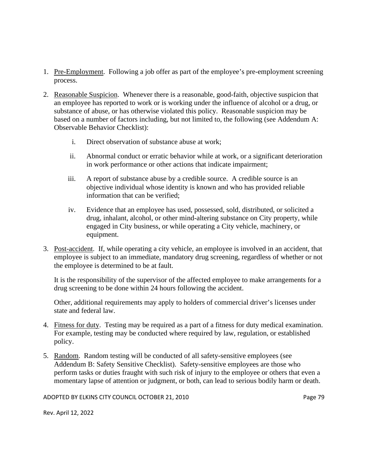- 1. Pre-Employment. Following a job offer as part of the employee's pre-employment screening process.
- 2. Reasonable Suspicion. Whenever there is a reasonable, good-faith, objective suspicion that an employee has reported to work or is working under the influence of alcohol or a drug, or substance of abuse, or has otherwise violated this policy. Reasonable suspicion may be based on a number of factors including, but not limited to, the following (see Addendum A: Observable Behavior Checklist):
	- i. Direct observation of substance abuse at work;
	- ii. Abnormal conduct or erratic behavior while at work, or a significant deterioration in work performance or other actions that indicate impairment;
	- iii. A report of substance abuse by a credible source. A credible source is an objective individual whose identity is known and who has provided reliable information that can be verified;
	- iv. Evidence that an employee has used, possessed, sold, distributed, or solicited a drug, inhalant, alcohol, or other mind-altering substance on City property, while engaged in City business, or while operating a City vehicle, machinery, or equipment.
- 3. Post-accident. If, while operating a city vehicle, an employee is involved in an accident, that employee is subject to an immediate, mandatory drug screening, regardless of whether or not the employee is determined to be at fault.

It is the responsibility of the supervisor of the affected employee to make arrangements for a drug screening to be done within 24 hours following the accident.

Other, additional requirements may apply to holders of commercial driver's licenses under state and federal law.

- 4. Fitness for duty. Testing may be required as a part of a fitness for duty medical examination. For example, testing may be conducted where required by law, regulation, or established policy.
- 5. Random. Random testing will be conducted of all safety-sensitive employees (see Addendum B: Safety Sensitive Checklist). Safety-sensitive employees are those who perform tasks or duties fraught with such risk of injury to the employee or others that even a momentary lapse of attention or judgment, or both, can lead to serious bodily harm or death.

ADOPTED BY ELKINS CITY COUNCIL OCTOBER 21, 2010 Page 79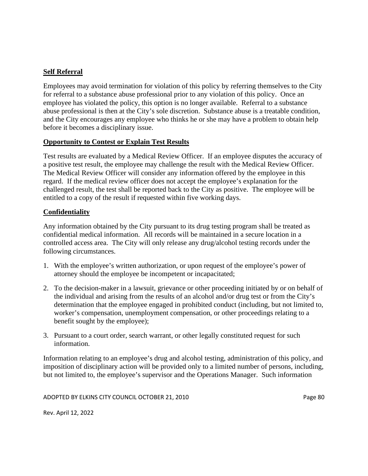#### **Self Referral**

Employees may avoid termination for violation of this policy by referring themselves to the City for referral to a substance abuse professional prior to any violation of this policy. Once an employee has violated the policy, this option is no longer available. Referral to a substance abuse professional is then at the City's sole discretion. Substance abuse is a treatable condition, and the City encourages any employee who thinks he or she may have a problem to obtain help before it becomes a disciplinary issue.

#### **Opportunity to Contest or Explain Test Results**

Test results are evaluated by a Medical Review Officer. If an employee disputes the accuracy of a positive test result, the employee may challenge the result with the Medical Review Officer. The Medical Review Officer will consider any information offered by the employee in this regard. If the medical review officer does not accept the employee's explanation for the challenged result, the test shall be reported back to the City as positive. The employee will be entitled to a copy of the result if requested within five working days.

#### **Confidentiality**

Any information obtained by the City pursuant to its drug testing program shall be treated as confidential medical information. All records will be maintained in a secure location in a controlled access area. The City will only release any drug/alcohol testing records under the following circumstances.

- 1. With the employee's written authorization, or upon request of the employee's power of attorney should the employee be incompetent or incapacitated;
- 2. To the decision-maker in a lawsuit, grievance or other proceeding initiated by or on behalf of the individual and arising from the results of an alcohol and/or drug test or from the City's determination that the employee engaged in prohibited conduct (including, but not limited to, worker's compensation, unemployment compensation, or other proceedings relating to a benefit sought by the employee);
- 3. Pursuant to a court order, search warrant, or other legally constituted request for such information.

Information relating to an employee's drug and alcohol testing, administration of this policy, and imposition of disciplinary action will be provided only to a limited number of persons, including, but not limited to, the employee's supervisor and the Operations Manager. Such information

ADOPTED BY ELKINS CITY COUNCIL OCTOBER 21, 2010 Page 80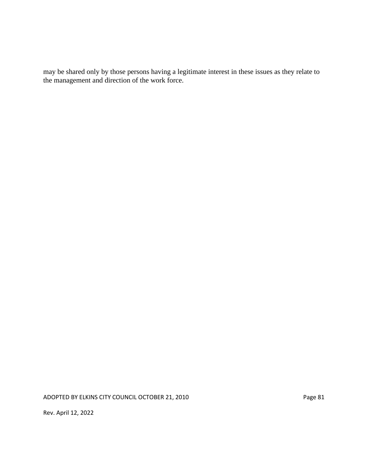may be shared only by those persons having a legitimate interest in these issues as they relate to the management and direction of the work force.

ADOPTED BY ELKINS CITY COUNCIL OCTOBER 21, 2010 **Page 81**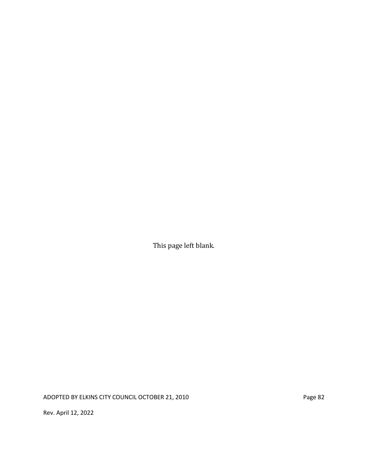This page left blank.

ADOPTED BY ELKINS CITY COUNCIL OCTOBER 21, 2010 **Page 82** Page 82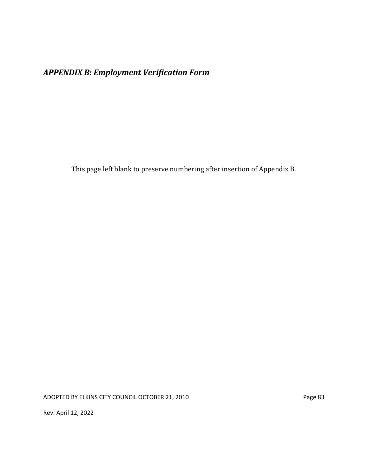# *APPENDIX B: Employment Verification Form*

This page left blank to preserve numbering after insertion of Appendix B.

ADOPTED BY ELKINS CITY COUNCIL OCTOBER 21, 2010 **Page 83** Page 83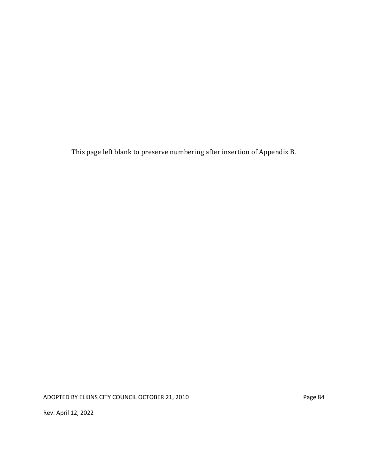ADOPTED BY ELKINS CITY COUNCIL OCTOBER 21, 2010 **Page 84**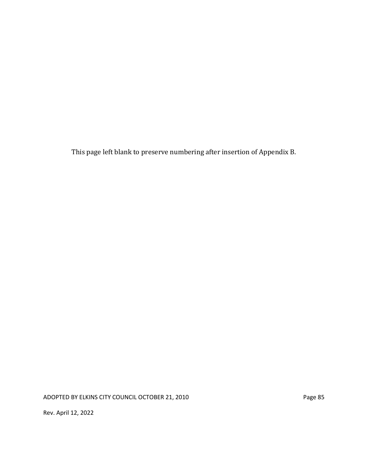ADOPTED BY ELKINS CITY COUNCIL OCTOBER 21, 2010 **Page 85**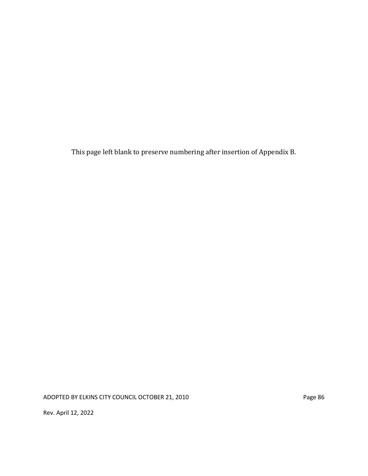ADOPTED BY ELKINS CITY COUNCIL OCTOBER 21, 2010 **Page 86**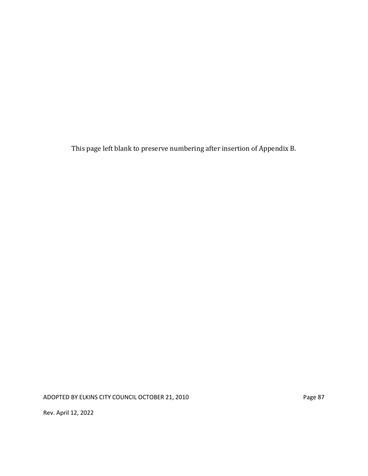ADOPTED BY ELKINS CITY COUNCIL OCTOBER 21, 2010 **Page 87** Page 87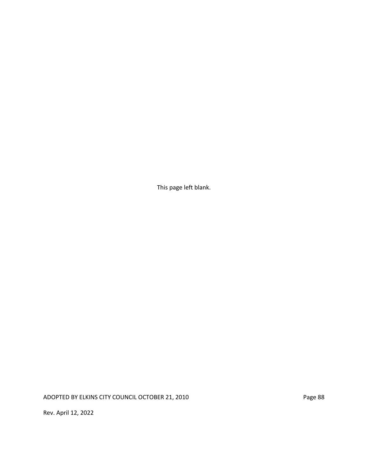This page left blank.

ADOPTED BY ELKINS CITY COUNCIL OCTOBER 21, 2010 **Page 88** Page 88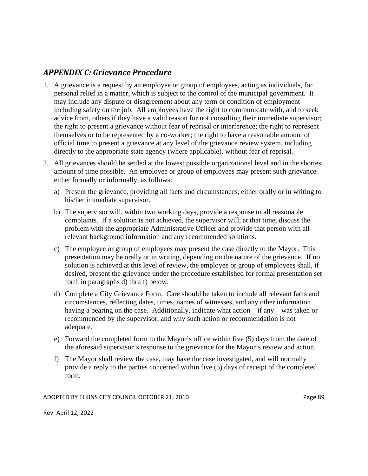## *APPENDIX C: Grievance Procedure*

- 1. A grievance is a request by an employee or group of employees, acting as individuals, for personal relief in a matter, which is subject to the control of the municipal government. It may include any dispute or disagreement about any term or condition of employment including safety on the job. All employees have the right to communicate with, and to seek advice from, others if they have a valid reason for not consulting their immediate supervisor; the right to present a grievance without fear of reprisal or interference; the right to represent themselves or to be represented by a co-worker; the right to have a reasonable amount of official time to present a grievance at any level of the grievance review system, including directly to the appropriate state agency (where applicable), without fear of reprisal.
- 2. All grievances should be settled at the lowest possible organizational level and in the shortest amount of time possible. An employee or group of employees may present such grievance either formally or informally, as follows:
	- a) Present the grievance, providing all facts and circumstances, either orally or in writing to his/her immediate supervisor.
	- b) The supervisor will, within two working days, provide a response to all reasonable complaints. If a solution is not achieved, the supervisor will, at that time, discuss the problem with the appropriate Administrative Officer and provide that person with all relevant background information and any recommended solutions.
	- c) The employee or group of employees may present the case directly to the Mayor. This presentation may be orally or in writing, depending on the nature of the grievance. If no solution is achieved at this level of review, the employee or group of employees shall, if desired, present the grievance under the procedure established for formal presentation set forth in paragraphs d) thru f) below.
	- d) Complete a City Grievance Form. Care should be taken to include all relevant facts and circumstances, reflecting dates, times, names of witnesses, and any other information having a bearing on the case. Additionally, indicate what action – if any – was taken or recommended by the supervisor, and why such action or recommendation is not adequate.
	- e) Forward the completed form to the Mayor's office within five (5) days from the date of the aforesaid supervisor's response to the grievance for the Mayor's review and action.
	- f) The Mayor shall review the case, may have the case investigated, and will normally provide a reply to the parties concerned within five (5) days of receipt of the completed form.

ADOPTED BY ELKINS CITY COUNCIL OCTOBER 21, 2010 Page 89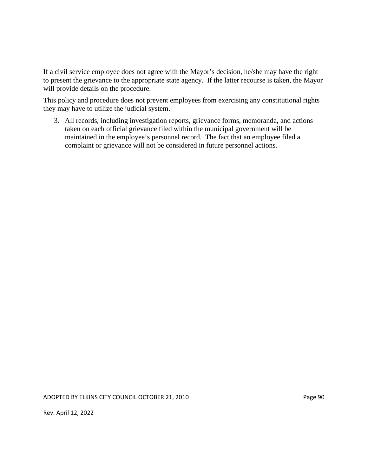If a civil service employee does not agree with the Mayor's decision, he/she may have the right to present the grievance to the appropriate state agency. If the latter recourse is taken, the Mayor will provide details on the procedure.

This policy and procedure does not prevent employees from exercising any constitutional rights they may have to utilize the judicial system.

3. All records, including investigation reports, grievance forms, memoranda, and actions taken on each official grievance filed within the municipal government will be maintained in the employee's personnel record. The fact that an employee filed a complaint or grievance will not be considered in future personnel actions.

ADOPTED BY ELKINS CITY COUNCIL OCTOBER 21, 2010 **Page 90** Page 90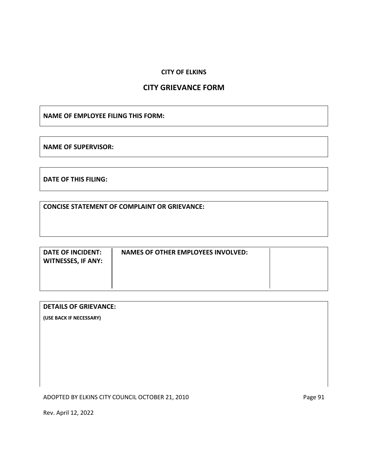#### **CITY OF ELKINS**

## **CITY GRIEVANCE FORM**

**NAME OF EMPLOYEE FILING THIS FORM:**

**NAME OF SUPERVISOR:**

**DATE OF THIS FILING:**

**CONCISE STATEMENT OF COMPLAINT OR GRIEVANCE:**

| <b>DATE OF INCIDENT:</b><br><b>WITNESSES, IF ANY:</b> | NAMES OF OTHER EMPLOYEES INVOLVED: |  |
|-------------------------------------------------------|------------------------------------|--|
|                                                       |                                    |  |

**DETAILS OF GRIEVANCE:**

**(USE BACK IF NECESSARY)**

ADOPTED BY ELKINS CITY COUNCIL OCTOBER 21, 2010 **Page 91** Page 91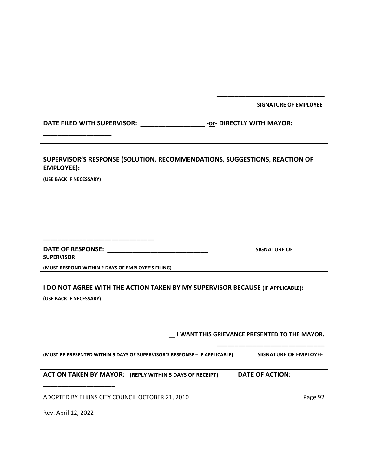**SIGNATURE OF EMPLOYEE**

**\_\_\_\_\_\_\_\_\_\_\_\_\_\_\_\_\_\_\_\_\_\_\_\_\_\_\_\_\_\_**

**DATE FILED WITH SUPERVISOR: \_\_\_\_\_\_\_\_\_\_\_\_\_\_\_\_\_\_ -or- DIRECTLY WITH MAYOR:** 

| SUPERVISOR'S RESPONSE (SOLUTION, RECOMMENDATIONS, SUGGESTIONS, REACTION OF |
|----------------------------------------------------------------------------|
| EMPLOYEE):                                                                 |

**(USE BACK IF NECESSARY)**

**\_\_\_\_\_\_\_\_\_\_\_\_\_\_\_\_\_\_\_**

**DATE OF RESPONSE: \_\_\_\_\_\_\_\_\_\_\_\_\_\_\_\_\_\_\_\_\_\_\_\_\_\_\_\_ SIGNATURE OF SUPERVISOR**

**\_\_\_\_\_\_\_\_\_\_\_\_\_\_\_\_\_\_\_\_\_\_\_\_\_\_\_\_\_\_**

**(MUST RESPOND WITHIN 2 DAYS OF EMPLOYEE'S FILING)**

**\_\_\_\_\_\_\_\_\_\_\_\_\_\_\_\_\_\_\_\_\_\_\_\_\_\_\_\_\_\_\_**

**I DO NOT AGREE WITH THE ACTION TAKEN BY MY SUPERVISOR BECAUSE (IF APPLICABLE):**

**(USE BACK IF NECESSARY)**

**\_\_ I WANT THIS GRIEVANCE PRESENTED TO THE MAYOR.** 

**(MUST BE PRESENTED WITHIN 5 DAYS OF SUPERVISOR'S RESPONSE – IF APPLICABLE) SIGNATURE OF EMPLOYEE**

**ACTION TAKEN BY MAYOR: (REPLY WITHIN 5 DAYS OF RECEIPT) DATE OF ACTION:** 

ADOPTED BY ELKINS CITY COUNCIL OCTOBER 21, 2010 **Page 92** Page 92

Rev. April 12, 2022

**\_\_\_\_\_\_\_\_\_\_\_\_\_\_\_\_\_\_\_\_**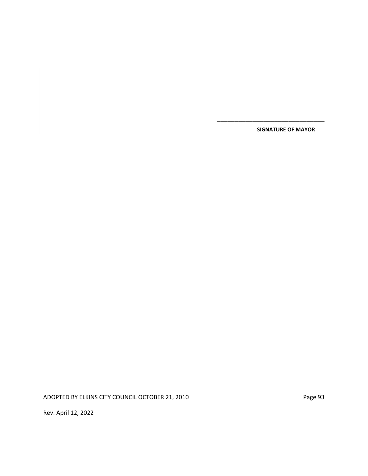**SIGNATURE OF MAYOR**

**\_\_\_\_\_\_\_\_\_\_\_\_\_\_\_\_\_\_\_\_\_\_\_\_\_\_\_\_\_\_**

ADOPTED BY ELKINS CITY COUNCIL OCTOBER 21, 2010 **Page 93** Page 93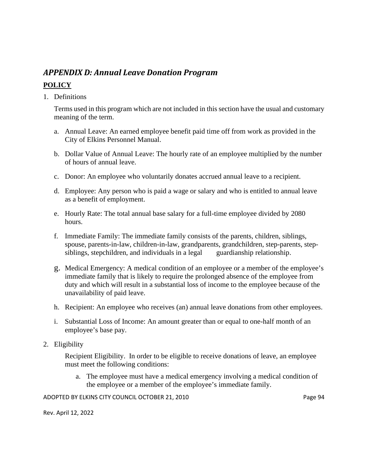## *APPENDIX D: Annual Leave Donation Program*  **POLICY**

1. Definitions

Terms used in this program which are not included in this section have the usual and customary meaning of the term.

- a. Annual Leave: An earned employee benefit paid time off from work as provided in the City of Elkins Personnel Manual.
- b. Dollar Value of Annual Leave: The hourly rate of an employee multiplied by the number of hours of annual leave.
- c. Donor: An employee who voluntarily donates accrued annual leave to a recipient.
- d. Employee: Any person who is paid a wage or salary and who is entitled to annual leave as a benefit of employment.
- e. Hourly Rate: The total annual base salary for a full-time employee divided by 2080 hours.
- f. Immediate Family: The immediate family consists of the parents, children, siblings, spouse, parents-in-law, children-in-law, grandparents, grandchildren, step-parents, stepsiblings, stepchildren, and individuals in a legal guardianship relationship.
- g. Medical Emergency: A medical condition of an employee or a member of the employee's immediate family that is likely to require the prolonged absence of the employee from duty and which will result in a substantial loss of income to the employee because of the unavailability of paid leave.
- h. Recipient: An employee who receives (an) annual leave donations from other employees.
- i. Substantial Loss of Income: An amount greater than or equal to one-half month of an employee's base pay.
- 2. Eligibility

Recipient Eligibility. In order to be eligible to receive donations of leave, an employee must meet the following conditions:

a. The employee must have a medical emergency involving a medical condition of the employee or a member of the employee's immediate family.

ADOPTED BY ELKINS CITY COUNCIL OCTOBER 21, 2010 Page 94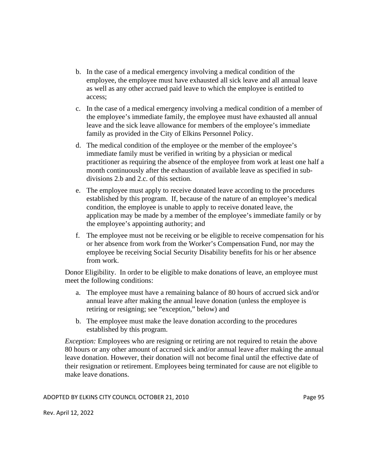- b. In the case of a medical emergency involving a medical condition of the employee, the employee must have exhausted all sick leave and all annual leave as well as any other accrued paid leave to which the employee is entitled to access;
- c. In the case of a medical emergency involving a medical condition of a member of the employee's immediate family, the employee must have exhausted all annual leave and the sick leave allowance for members of the employee's immediate family as provided in the City of Elkins Personnel Policy.
- d. The medical condition of the employee or the member of the employee's immediate family must be verified in writing by a physician or medical practitioner as requiring the absence of the employee from work at least one half a month continuously after the exhaustion of available leave as specified in subdivisions 2.b and 2.c. of this section.
- e. The employee must apply to receive donated leave according to the procedures established by this program. If, because of the nature of an employee's medical condition, the employee is unable to apply to receive donated leave, the application may be made by a member of the employee's immediate family or by the employee's appointing authority; and
- f. The employee must not be receiving or be eligible to receive compensation for his or her absence from work from the Worker's Compensation Fund, nor may the employee be receiving Social Security Disability benefits for his or her absence from work.

Donor Eligibility. In order to be eligible to make donations of leave, an employee must meet the following conditions:

- a. The employee must have a remaining balance of 80 hours of accrued sick and/or annual leave after making the annual leave donation (unless the employee is retiring or resigning; see "exception," below) and
- b. The employee must make the leave donation according to the procedures established by this program.

*Exception:* Employees who are resigning or retiring are not required to retain the above 80 hours or any other amount of accrued sick and/or annual leave after making the annual leave donation. However, their donation will not become final until the effective date of their resignation or retirement. Employees being terminated for cause are not eligible to make leave donations.

ADOPTED BY ELKINS CITY COUNCIL OCTOBER 21, 2010 Page 95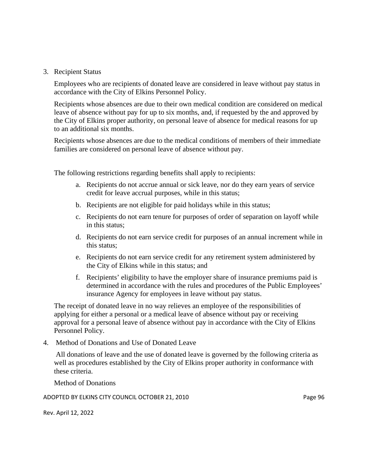#### 3. Recipient Status

Employees who are recipients of donated leave are considered in leave without pay status in accordance with the City of Elkins Personnel Policy.

Recipients whose absences are due to their own medical condition are considered on medical leave of absence without pay for up to six months, and, if requested by the and approved by the City of Elkins proper authority, on personal leave of absence for medical reasons for up to an additional six months.

Recipients whose absences are due to the medical conditions of members of their immediate families are considered on personal leave of absence without pay.

The following restrictions regarding benefits shall apply to recipients:

- a. Recipients do not accrue annual or sick leave, nor do they earn years of service credit for leave accrual purposes, while in this status;
- b. Recipients are not eligible for paid holidays while in this status;
- c. Recipients do not earn tenure for purposes of order of separation on layoff while in this status;
- d. Recipients do not earn service credit for purposes of an annual increment while in this status;
- e. Recipients do not earn service credit for any retirement system administered by the City of Elkins while in this status; and
- f. Recipients' eligibility to have the employer share of insurance premiums paid is determined in accordance with the rules and procedures of the Public Employees' insurance Agency for employees in leave without pay status.

The receipt of donated leave in no way relieves an employee of the responsibilities of applying for either a personal or a medical leave of absence without pay or receiving approval for a personal leave of absence without pay in accordance with the City of Elkins Personnel Policy.

4. Method of Donations and Use of Donated Leave

All donations of leave and the use of donated leave is governed by the following criteria as well as procedures established by the City of Elkins proper authority in conformance with these criteria.

Method of Donations

ADOPTED BY ELKINS CITY COUNCIL OCTOBER 21, 2010 Page 96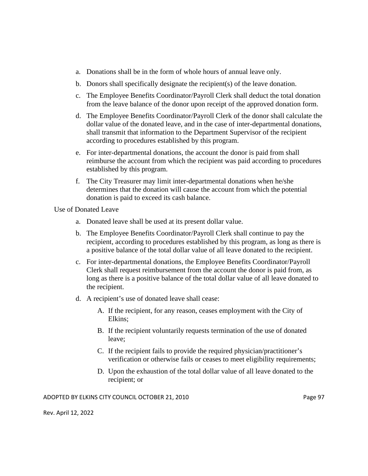- a. Donations shall be in the form of whole hours of annual leave only.
- b. Donors shall specifically designate the recipient(s) of the leave donation.
- c. The Employee Benefits Coordinator/Payroll Clerk shall deduct the total donation from the leave balance of the donor upon receipt of the approved donation form.
- d. The Employee Benefits Coordinator/Payroll Clerk of the donor shall calculate the dollar value of the donated leave, and in the case of inter-departmental donations, shall transmit that information to the Department Supervisor of the recipient according to procedures established by this program.
- e. For inter-departmental donations, the account the donor is paid from shall reimburse the account from which the recipient was paid according to procedures established by this program.
- f. The City Treasurer may limit inter-departmental donations when he/she determines that the donation will cause the account from which the potential donation is paid to exceed its cash balance.

Use of Donated Leave

- a. Donated leave shall be used at its present dollar value.
- b. The Employee Benefits Coordinator/Payroll Clerk shall continue to pay the recipient, according to procedures established by this program, as long as there is a positive balance of the total dollar value of all leave donated to the recipient.
- c. For inter-departmental donations, the Employee Benefits Coordinator/Payroll Clerk shall request reimbursement from the account the donor is paid from, as long as there is a positive balance of the total dollar value of all leave donated to the recipient.
- d. A recipient's use of donated leave shall cease:
	- A. If the recipient, for any reason, ceases employment with the City of Elkins;
	- B. If the recipient voluntarily requests termination of the use of donated leave;
	- C. If the recipient fails to provide the required physician/practitioner's verification or otherwise fails or ceases to meet eligibility requirements;
	- D. Upon the exhaustion of the total dollar value of all leave donated to the recipient; or

ADOPTED BY ELKINS CITY COUNCIL OCTOBER 21, 2010 Page 97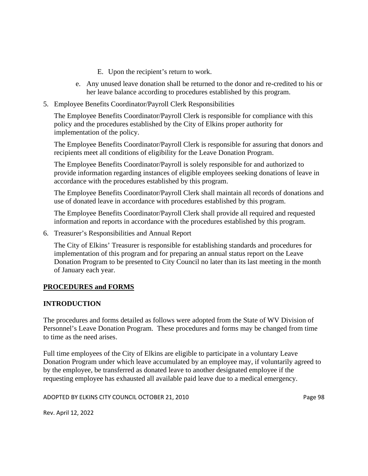- E. Upon the recipient's return to work.
- e. Any unused leave donation shall be returned to the donor and re-credited to his or her leave balance according to procedures established by this program.
- 5. Employee Benefits Coordinator/Payroll Clerk Responsibilities

The Employee Benefits Coordinator/Payroll Clerk is responsible for compliance with this policy and the procedures established by the City of Elkins proper authority for implementation of the policy.

The Employee Benefits Coordinator/Payroll Clerk is responsible for assuring that donors and recipients meet all conditions of eligibility for the Leave Donation Program.

The Employee Benefits Coordinator/Payroll is solely responsible for and authorized to provide information regarding instances of eligible employees seeking donations of leave in accordance with the procedures established by this program.

The Employee Benefits Coordinator/Payroll Clerk shall maintain all records of donations and use of donated leave in accordance with procedures established by this program.

The Employee Benefits Coordinator/Payroll Clerk shall provide all required and requested information and reports in accordance with the procedures established by this program.

6. Treasurer's Responsibilities and Annual Report

The City of Elkins' Treasurer is responsible for establishing standards and procedures for implementation of this program and for preparing an annual status report on the Leave Donation Program to be presented to City Council no later than its last meeting in the month of January each year.

#### **PROCEDURES and FORMS**

#### **INTRODUCTION**

The procedures and forms detailed as follows were adopted from the State of WV Division of Personnel's Leave Donation Program. These procedures and forms may be changed from time to time as the need arises.

Full time employees of the City of Elkins are eligible to participate in a voluntary Leave Donation Program under which leave accumulated by an employee may, if voluntarily agreed to by the employee, be transferred as donated leave to another designated employee if the requesting employee has exhausted all available paid leave due to a medical emergency.

ADOPTED BY ELKINS CITY COUNCIL OCTOBER 21, 2010 Page 98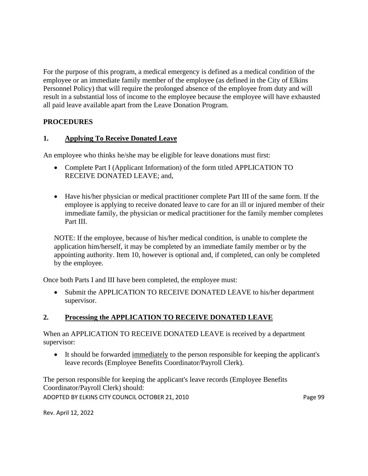For the purpose of this program, a medical emergency is defined as a medical condition of the employee or an immediate family member of the employee (as defined in the City of Elkins Personnel Policy) that will require the prolonged absence of the employee from duty and will result in a substantial loss of income to the employee because the employee will have exhausted all paid leave available apart from the Leave Donation Program.

#### **PROCEDURES**

#### **1. Applying To Receive Donated Leave**

An employee who thinks he/she may be eligible for leave donations must first:

- Complete Part I (Applicant Information) of the form titled APPLICATION TO RECEIVE DONATED LEAVE; and,
- Have his/her physician or medical practitioner complete Part III of the same form. If the employee is applying to receive donated leave to care for an ill or injured member of their immediate family, the physician or medical practitioner for the family member completes Part III.

NOTE: If the employee, because of his/her medical condition, is unable to complete the application him/herself, it may be completed by an immediate family member or by the appointing authority. Item 10, however is optional and, if completed, can only be completed by the employee.

Once both Parts I and III have been completed, the employee must:

• Submit the APPLICATION TO RECEIVE DONATED LEAVE to his/her department supervisor.

### **2. Processing the APPLICATION TO RECEIVE DONATED LEAVE**

When an APPLICATION TO RECEIVE DONATED LEAVE is received by a department supervisor:

• It should be forwarded immediately to the person responsible for keeping the applicant's leave records (Employee Benefits Coordinator/Payroll Clerk).

ADOPTED BY ELKINS CITY COUNCIL OCTOBER 21, 2010 Page 99 The person responsible for keeping the applicant's leave records (Employee Benefits Coordinator/Payroll Clerk) should: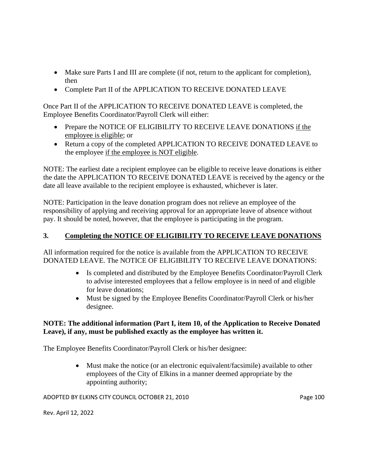- Make sure Parts I and III are complete (if not, return to the applicant for completion), then
- Complete Part II of the APPLICATION TO RECEIVE DONATED LEAVE

Once Part II of the APPLICATION TO RECEIVE DONATED LEAVE is completed, the Employee Benefits Coordinator/Payroll Clerk will either:

- Prepare the NOTICE OF ELIGIBILITY TO RECEIVE LEAVE DONATIONS if the employee is eligible; or
- Return a copy of the completed APPLICATION TO RECEIVE DONATED LEAVE to the employee if the employee is NOT eligible.

NOTE: The earliest date a recipient employee can be eligible to receive leave donations is either the date the APPLICATION TO RECEIVE DONATED LEAVE is received by the agency or the date all leave available to the recipient employee is exhausted, whichever is later.

NOTE: Participation in the leave donation program does not relieve an employee of the responsibility of applying and receiving approval for an appropriate leave of absence without pay. It should be noted, however, that the employee is participating in the program.

### **3. Completing the NOTICE OF ELIGIBILITY TO RECEIVE LEAVE DONATIONS**

All information required for the notice is available from the APPLICATION TO RECEIVE DONATED LEAVE. The NOTICE OF ELIGIBILITY TO RECEIVE LEAVE DONATIONS:

- Is completed and distributed by the Employee Benefits Coordinator/Payroll Clerk to advise interested employees that a fellow employee is in need of and eligible for leave donations;
- Must be signed by the Employee Benefits Coordinator/Payroll Clerk or his/her designee.

#### **NOTE: The additional information (Part I, item 10, of the Application to Receive Donated Leave), if any, must be published exactly as the employee has written it.**

The Employee Benefits Coordinator/Payroll Clerk or his/her designee:

• Must make the notice (or an electronic equivalent/facsimile) available to other employees of the City of Elkins in a manner deemed appropriate by the appointing authority;

ADOPTED BY ELKINS CITY COUNCIL OCTOBER 21, 2010 Page 100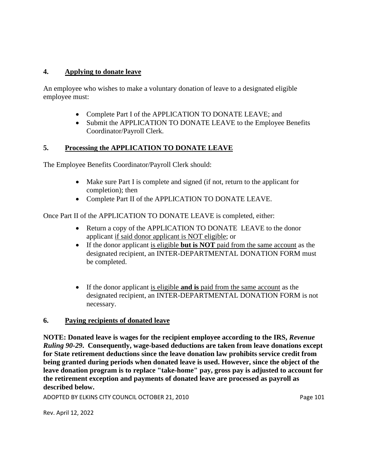#### **4. Applying to donate leave**

An employee who wishes to make a voluntary donation of leave to a designated eligible employee must:

- Complete Part I of the APPLICATION TO DONATE LEAVE; and
- Submit the APPLICATION TO DONATE LEAVE to the Employee Benefits Coordinator/Payroll Clerk.

### **5. Processing the APPLICATION TO DONATE LEAVE**

The Employee Benefits Coordinator/Payroll Clerk should:

- Make sure Part I is complete and signed (if not, return to the applicant for completion); then
- Complete Part II of the APPLICATION TO DONATE LEAVE.

Once Part II of the APPLICATION TO DONATE LEAVE is completed, either:

- Return a copy of the APPLICATION TO DONATE LEAVE to the donor applicant if said donor applicant is NOT eligible; or
- If the donor applicant is eligible **but is NOT** paid from the same account as the designated recipient, an INTER-DEPARTMENTAL DONATION FORM must be completed.
- If the donor applicant is eligible **and is** paid from the same account as the designated recipient, an INTER-DEPARTMENTAL DONATION FORM is not necessary.

#### **6. Paying recipients of donated leave**

**NOTE: Donated leave is wages for the recipient employee according to the IRS,** *Revenue Ruling 90-29***. Consequently, wage-based deductions are taken from leave donations except for State retirement deductions since the leave donation law prohibits service credit from being granted during periods when donated leave is used. However, since the object of the leave donation program is to replace "take-home" pay, gross pay is adjusted to account for the retirement exception and payments of donated leave are processed as payroll as described below.**

ADOPTED BY ELKINS CITY COUNCIL OCTOBER 21, 2010 Page 101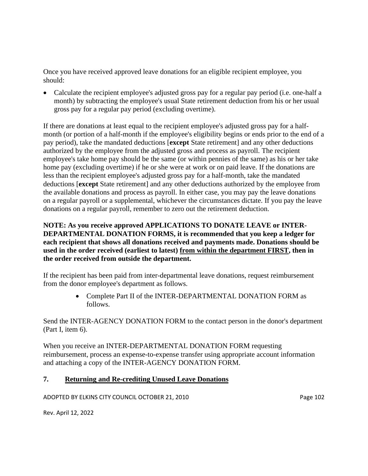Once you have received approved leave donations for an eligible recipient employee, you should:

• Calculate the recipient employee's adjusted gross pay for a regular pay period (i.e. one-half a month) by subtracting the employee's usual State retirement deduction from his or her usual gross pay for a regular pay period (excluding overtime).

If there are donations at least equal to the recipient employee's adjusted gross pay for a halfmonth (or portion of a half-month if the employee's eligibility begins or ends prior to the end of a pay period), take the mandated deductions [**except** State retirement] and any other deductions authorized by the employee from the adjusted gross and process as payroll. The recipient employee's take home pay should be the same (or within pennies of the same) as his or her take home pay (excluding overtime) if he or she were at work or on paid leave. If the donations are less than the recipient employee's adjusted gross pay for a half-month, take the mandated deductions [**except** State retirement] and any other deductions authorized by the employee from the available donations and process as payroll. In either case, you may pay the leave donations on a regular payroll or a supplemental, whichever the circumstances dictate. If you pay the leave donations on a regular payroll, remember to zero out the retirement deduction.

#### **NOTE: As you receive approved APPLICATIONS TO DONATE LEAVE or INTER-DEPARTMENTAL DONATION FORMS, it is recommended that you keep a ledger for each recipient that shows all donations received and payments made. Donations should be used in the order received (earliest to latest) from within the department FIRST, then in the order received from outside the department.**

If the recipient has been paid from inter-departmental leave donations, request reimbursement from the donor employee's department as follows.

> • Complete Part II of the INTER-DEPARTMENTAL DONATION FORM as follows.

Send the INTER-AGENCY DONATION FORM to the contact person in the donor's department (Part I, item 6).

When you receive an INTER-DEPARTMENTAL DONATION FORM requesting reimbursement, process an expense-to-expense transfer using appropriate account information and attaching a copy of the INTER-AGENCY DONATION FORM.

#### **7. Returning and Re-crediting Unused Leave Donations**

ADOPTED BY ELKINS CITY COUNCIL OCTOBER 21, 2010 PAGE 102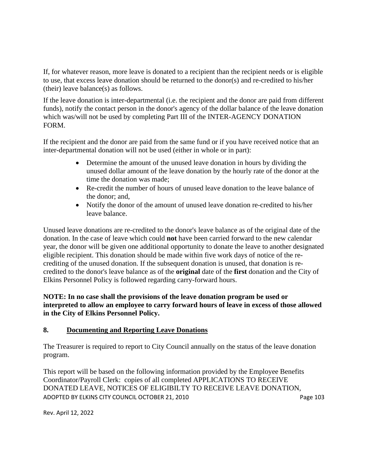If, for whatever reason, more leave is donated to a recipient than the recipient needs or is eligible to use, that excess leave donation should be returned to the donor(s) and re-credited to his/her (their) leave balance(s) as follows.

If the leave donation is inter-departmental (i.e. the recipient and the donor are paid from different funds), notify the contact person in the donor's agency of the dollar balance of the leave donation which was/will not be used by completing Part III of the INTER-AGENCY DONATION FORM.

If the recipient and the donor are paid from the same fund or if you have received notice that an inter-departmental donation will not be used (either in whole or in part):

- Determine the amount of the unused leave donation in hours by dividing the unused dollar amount of the leave donation by the hourly rate of the donor at the time the donation was made;
- Re-credit the number of hours of unused leave donation to the leave balance of the donor; and,
- Notify the donor of the amount of unused leave donation re-credited to his/her leave balance.

Unused leave donations are re-credited to the donor's leave balance as of the original date of the donation. In the case of leave which could **not** have been carried forward to the new calendar year, the donor will be given one additional opportunity to donate the leave to another designated eligible recipient. This donation should be made within five work days of notice of the recrediting of the unused donation. If the subsequent donation is unused, that donation is recredited to the donor's leave balance as of the **original** date of the **first** donation and the City of Elkins Personnel Policy is followed regarding carry-forward hours.

**NOTE: In no case shall the provisions of the leave donation program be used or interpreted to allow an employee to carry forward hours of leave in excess of those allowed in the City of Elkins Personnel Policy.** 

#### **8. Documenting and Reporting Leave Donations**

The Treasurer is required to report to City Council annually on the status of the leave donation program.

ADOPTED BY ELKINS CITY COUNCIL OCTOBER 21, 2010 Page 103 This report will be based on the following information provided by the Employee Benefits Coordinator/Payroll Clerk: copies of all completed APPLICATIONS TO RECEIVE DONATED LEAVE, NOTICES OF ELIGIBILTY TO RECEIVE LEAVE DONATION,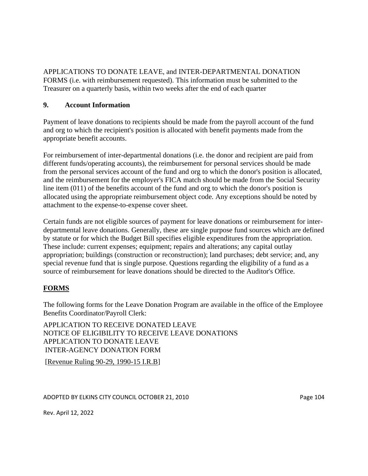APPLICATIONS TO DONATE LEAVE, and INTER-DEPARTMENTAL DONATION FORMS (i.e. with reimbursement requested). This information must be submitted to the Treasurer on a quarterly basis, within two weeks after the end of each quarter

#### **9. Account Information**

Payment of leave donations to recipients should be made from the payroll account of the fund and org to which the recipient's position is allocated with benefit payments made from the appropriate benefit accounts.

For reimbursement of inter-departmental donations (i.e. the donor and recipient are paid from different funds/operating accounts), the reimbursement for personal services should be made from the personal services account of the fund and org to which the donor's position is allocated, and the reimbursement for the employer's FICA match should be made from the Social Security line item (011) of the benefits account of the fund and org to which the donor's position is allocated using the appropriate reimbursement object code. Any exceptions should be noted by attachment to the expense-to-expense cover sheet.

Certain funds are not eligible sources of payment for leave donations or reimbursement for interdepartmental leave donations. Generally, these are single purpose fund sources which are defined by statute or for which the Budget Bill specifies eligible expenditures from the appropriation. These include: current expenses; equipment; repairs and alterations; any capital outlay appropriation; buildings (construction or reconstruction); land purchases; debt service; and, any special revenue fund that is single purpose. Questions regarding the eligibility of a fund as a source of reimbursement for leave donations should be directed to the Auditor's Office.

#### **FORMS**

The following forms for the Leave Donation Program are available in the office of the Employee Benefits Coordinator/Payroll Clerk:

APPLICATION TO RECEIVE DONATED LEAVE NOTICE OF ELIGIBILITY TO RECEIVE LEAVE DONATIONS APPLICATION TO DONATE LEAVE INTER-AGENCY DONATION FORM

[\[Revenue Ruling 90-29, 1990-15 I.R.B\]](http://www.state.wv.us/admin/personnel/empcom/tax.htm)

ADOPTED BY ELKINS CITY COUNCIL OCTOBER 21, 2010 Page 104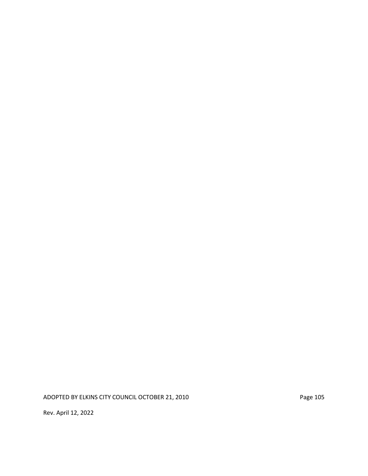ADOPTED BY ELKINS CITY COUNCIL OCTOBER 21, 2010 **Page 105** Page 105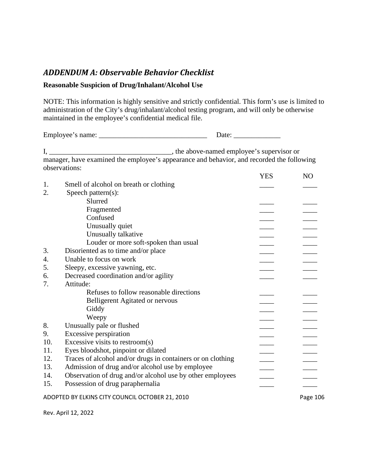## *ADDENDUM A: Observable Behavior Checklist*

#### **Reasonable Suspicion of Drug/Inhalant/Alcohol Use**

NOTE: This information is highly sensitive and strictly confidential. This form's use is limited to administration of the City's drug/inhalant/alcohol testing program, and will only be otherwise maintained in the employee's confidential medical file.

| Employee's name: | Jate |
|------------------|------|
|------------------|------|

I, \_\_\_\_\_\_\_\_\_\_\_\_\_\_\_\_\_\_\_\_\_\_\_\_\_\_\_\_\_\_\_\_\_\_, the above-named employee's supervisor or manager, have examined the employee's appearance and behavior, and recorded the following observations: YES NO

|     |                                                             | دن 1 | <b>IVU</b> |
|-----|-------------------------------------------------------------|------|------------|
| 1.  | Smell of alcohol on breath or clothing                      |      |            |
| 2.  | Speech pattern(s):                                          |      |            |
|     | Slurred                                                     |      |            |
|     | Fragmented                                                  |      |            |
|     | Confused                                                    |      |            |
|     | Unusually quiet                                             |      |            |
|     | Unusually talkative                                         |      |            |
|     | Louder or more soft-spoken than usual                       |      |            |
| 3.  | Disoriented as to time and/or place                         |      |            |
| 4.  | Unable to focus on work                                     |      |            |
| 5.  | Sleepy, excessive yawning, etc.                             |      |            |
| 6.  | Decreased coordination and/or agility                       |      |            |
| 7.  | Attitude:                                                   |      |            |
|     | Refuses to follow reasonable directions                     |      |            |
|     | <b>Belligerent Agitated or nervous</b>                      |      |            |
|     | Giddy                                                       |      |            |
|     | Weepy                                                       |      |            |
| 8.  | Unusually pale or flushed                                   |      |            |
| 9.  | <b>Excessive perspiration</b>                               |      |            |
| 10. | Excessive visits to restroom(s)                             |      |            |
| 11. | Eyes bloodshot, pinpoint or dilated                         |      |            |
| 12. | Traces of alcohol and/or drugs in containers or on clothing |      |            |
| 13. | Admission of drug and/or alcohol use by employee            |      |            |
| 14. | Observation of drug and/or alcohol use by other employees   |      |            |
| 15. | Possession of drug paraphernalia                            |      |            |
|     | ADOPTED BY ELKINS CITY COUNCIL OCTOBER 21, 2010             |      | Page 106   |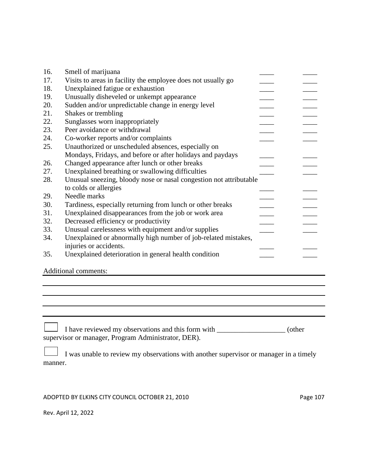| 16. | Smell of marijuana                                                 |        |
|-----|--------------------------------------------------------------------|--------|
| 17. | Visits to areas in facility the employee does not usually go       |        |
| 18. | Unexplained fatigue or exhaustion                                  |        |
| 19. | Unusually disheveled or unkempt appearance                         |        |
| 20. | Sudden and/or unpredictable change in energy level                 |        |
| 21. | Shakes or trembling                                                |        |
| 22. | Sunglasses worn inappropriately                                    |        |
| 23. | Peer avoidance or withdrawal                                       |        |
| 24. | Co-worker reports and/or complaints                                |        |
| 25. | Unauthorized or unscheduled absences, especially on                |        |
|     | Mondays, Fridays, and before or after holidays and paydays         |        |
| 26. | Changed appearance after lunch or other breaks                     |        |
| 27. | Unexplained breathing or swallowing difficulties                   |        |
| 28. | Unusual sneezing, bloody nose or nasal congestion not attributable |        |
|     | to colds or allergies                                              |        |
| 29. | Needle marks                                                       |        |
| 30. | Tardiness, especially returning from lunch or other breaks         |        |
| 31. | Unexplained disappearances from the job or work area               |        |
| 32. | Decreased efficiency or productivity                               |        |
| 33. | Unusual carelessness with equipment and/or supplies                |        |
| 34. | Unexplained or abnormally high number of job-related mistakes,     |        |
|     | injuries or accidents.                                             |        |
| 35. | Unexplained deterioration in general health condition              |        |
|     | <b>Additional comments:</b>                                        |        |
|     |                                                                    |        |
|     |                                                                    |        |
|     |                                                                    |        |
|     |                                                                    |        |
|     |                                                                    |        |
|     |                                                                    | (other |
|     | supervisor or manager, Program Administrator, DER).                |        |

I was unable to review my observations with another supervisor or manager in a timely manner.

ADOPTED BY ELKINS CITY COUNCIL OCTOBER 21, 2010 **Page 107** Page 107

 $\blacksquare$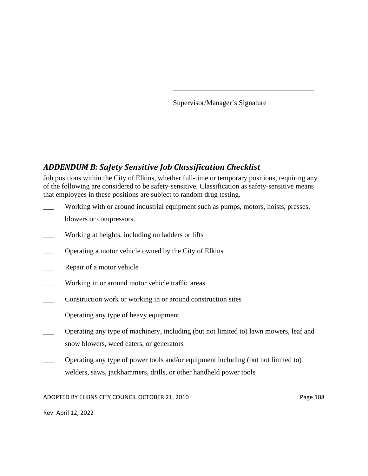Supervisor/Manager's Signature

\_\_\_\_\_\_\_\_\_\_\_\_\_\_\_\_\_\_\_\_\_\_\_\_\_\_\_\_\_\_\_\_\_\_\_\_\_\_\_

### *ADDENDUM B: Safety Sensitive Job Classification Checklist*

Job positions within the City of Elkins, whether full-time or temporary positions, requiring any of the following are considered to be safety-sensitive. Classification as safety-sensitive means that employees in these positions are subject to random drug testing.

- Working with or around industrial equipment such as pumps, motors, hoists, presses, blowers or compressors.
- \_\_\_ Working at heights, including on ladders or lifts
- \_\_\_ Operating a motor vehicle owned by the City of Elkins
- Repair of a motor vehicle
- Working in or around motor vehicle traffic areas
- Construction work or working in or around construction sites
- \_\_\_ Operating any type of heavy equipment
- \_\_\_ Operating any type of machinery, including (but not limited to) lawn mowers, leaf and snow blowers, weed eaters, or generators
- \_\_\_ Operating any type of power tools and/or equipment including (but not limited to) welders, saws, jackhammers, drills, or other handheld power tools

ADOPTED BY ELKINS CITY COUNCIL OCTOBER 21, 2010 Page 108